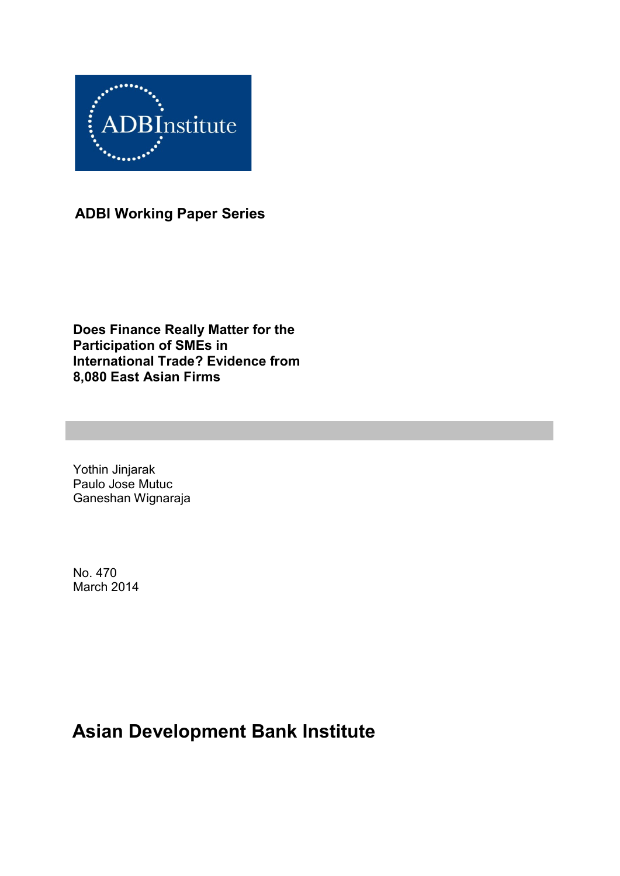

### **ADBI Working Paper Series**

**Does Finance Really Matter for the Participation of SMEs in International Trade? Evidence from 8,080 East Asian Firms**

Yothin Jinjarak Paulo Jose Mutuc Ganeshan Wignaraja

No. 470 March 2014

# **Asian Development Bank Institute**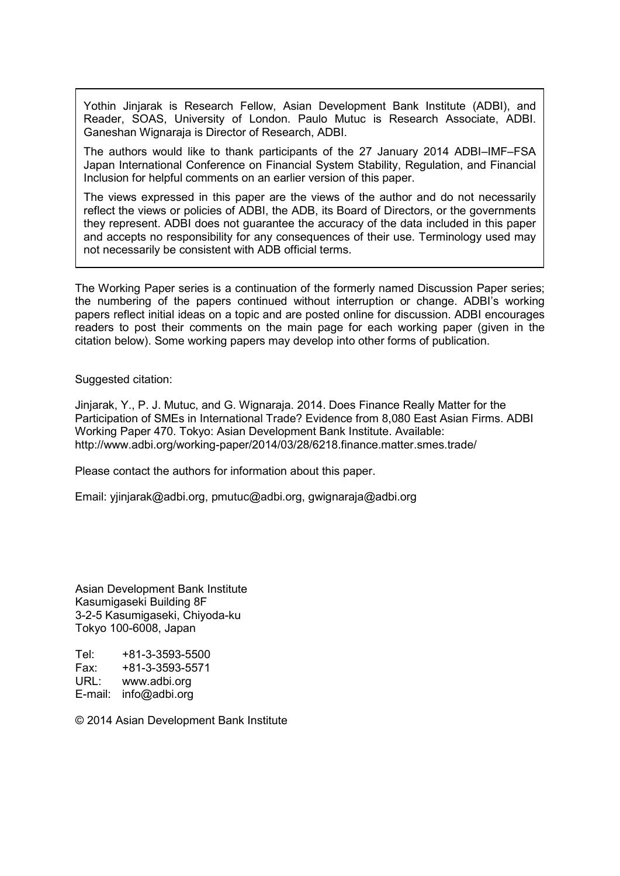Yothin Jinjarak is Research Fellow, Asian Development Bank Institute (ADBI), and Reader, SOAS, University of London. Paulo Mutuc is Research Associate, ADBI. Ganeshan Wignaraja is Director of Research, ADBI.

The authors would like to thank participants of the 27 January 2014 ADBI–IMF–FSA Japan International Conference on Financial System Stability, Regulation, and Financial Inclusion for helpful comments on an earlier version of this paper.

The views expressed in this paper are the views of the author and do not necessarily reflect the views or policies of ADBI, the ADB, its Board of Directors, or the governments they represent. ADBI does not guarantee the accuracy of the data included in this paper and accepts no responsibility for any consequences of their use. Terminology used may not necessarily be consistent with ADB official terms.

The Working Paper series is a continuation of the formerly named Discussion Paper series; the numbering of the papers continued without interruption or change. ADBI's working papers reflect initial ideas on a topic and are posted online for discussion. ADBI encourages readers to post their comments on the main page for each working paper (given in the citation below). Some working papers may develop into other forms of publication.

Suggested citation:

Jinjarak, Y., P. J. Mutuc, and G. Wignaraja. 2014. Does Finance Really Matter for the Participation of SMEs in International Trade? Evidence from 8,080 East Asian Firms. ADBI Working Paper 470. Tokyo: Asian Development Bank Institute. Available: http://www.adbi.org/working-paper/2014/03/28/6218.finance.matter.smes.trade/

Please contact the authors for information about this paper.

Email: [yjinjarak@adbi.org,](mailto:yjinjarak@adbi.org) [pmutuc@adbi.org,](mailto:pmutuc@adbi.org) [gwignaraja@adbi.org](mailto:gwignaraja@adbi.org)

Asian Development Bank Institute Kasumigaseki Building 8F 3-2-5 Kasumigaseki, Chiyoda-ku Tokyo 100-6008, Japan

Tel: +81-3-3593-5500<br>Fax: +81-3-3593-5571 Fax: +81-3-3593-5571 URL: www.adbi.org E-mail: info@adbi.org

© 2014 Asian Development Bank Institute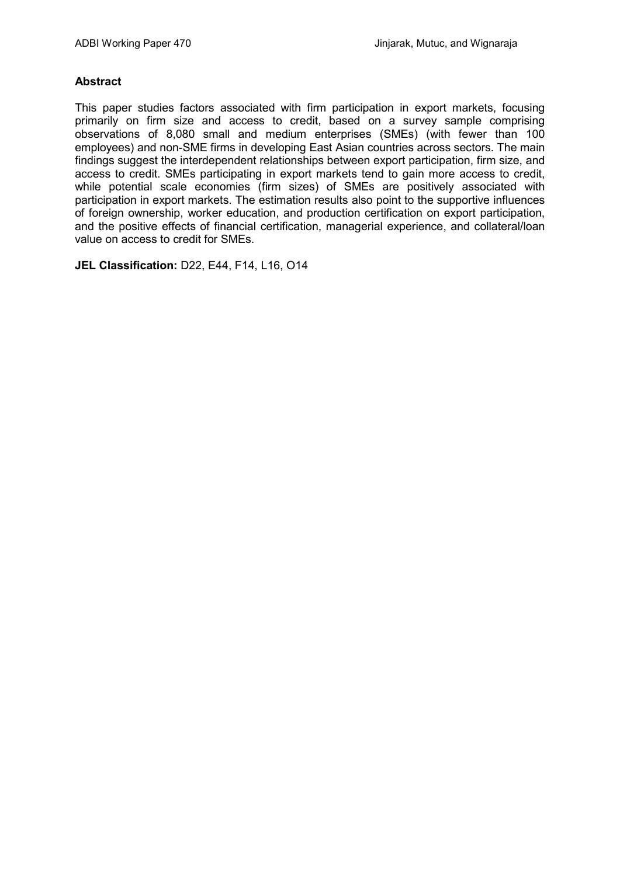#### **Abstract**

This paper studies factors associated with firm participation in export markets, focusing primarily on firm size and access to credit, based on a survey sample comprising observations of 8,080 small and medium enterprises (SMEs) (with fewer than 100 employees) and non-SME firms in developing East Asian countries across sectors. The main findings suggest the interdependent relationships between export participation, firm size, and access to credit. SMEs participating in export markets tend to gain more access to credit, while potential scale economies (firm sizes) of SMEs are positively associated with participation in export markets. The estimation results also point to the supportive influences of foreign ownership, worker education, and production certification on export participation, and the positive effects of financial certification, managerial experience, and collateral/loan value on access to credit for SMEs.

**JEL Classification:** D22, E44, F14, L16, O14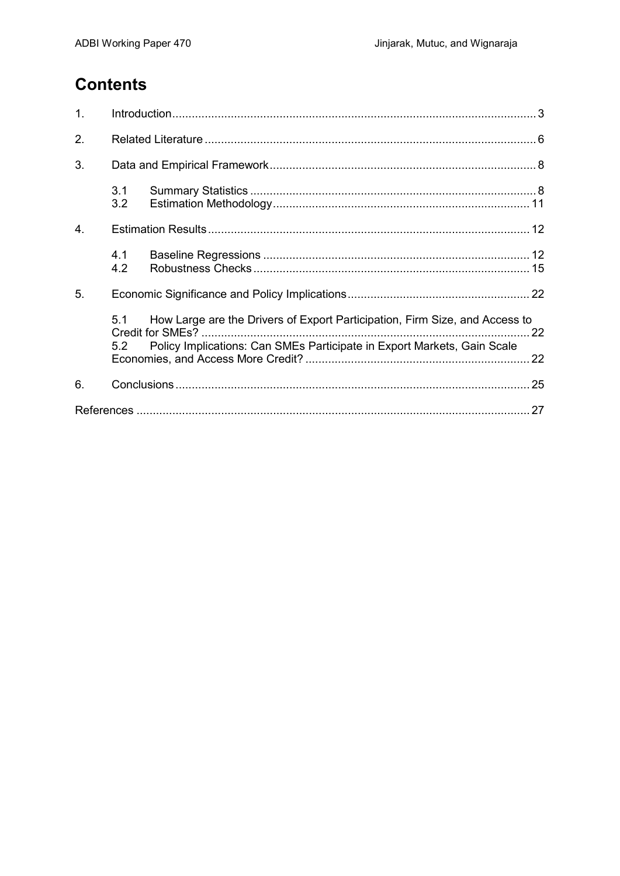# **Contents**

| 1. |            |                                                                             |  |
|----|------------|-----------------------------------------------------------------------------|--|
| 2. |            |                                                                             |  |
| 3. |            |                                                                             |  |
|    | 3.1<br>3.2 |                                                                             |  |
| 4. |            |                                                                             |  |
|    | 4.1<br>4.2 |                                                                             |  |
| 5. |            |                                                                             |  |
|    | 5.1        | How Large are the Drivers of Export Participation, Firm Size, and Access to |  |
|    | 5.2        | Policy Implications: Can SMEs Participate in Export Markets, Gain Scale     |  |
| 6. |            |                                                                             |  |
|    |            |                                                                             |  |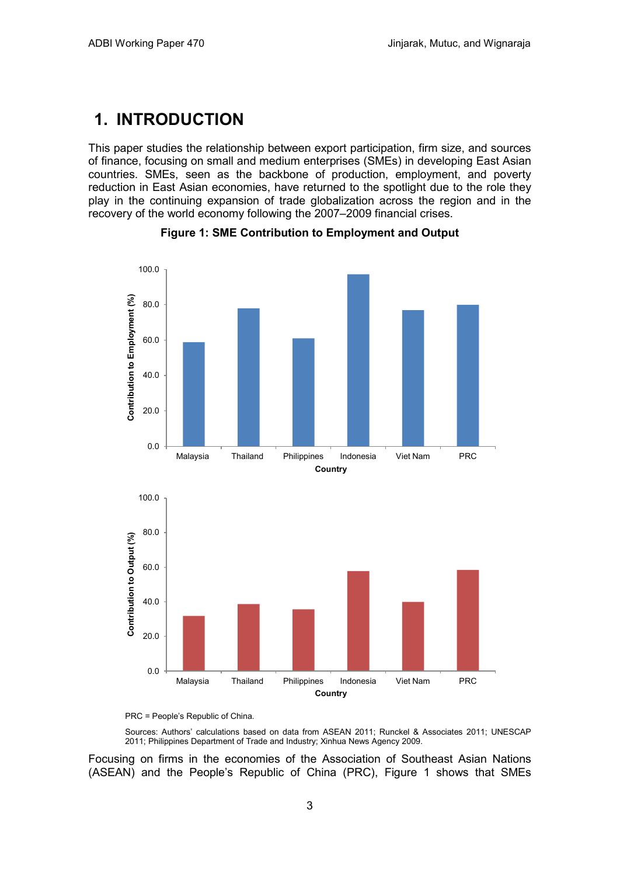### **1. INTRODUCTION**

This paper studies the relationship between export participation, firm size, and sources of finance, focusing on small and medium enterprises (SMEs) in developing East Asian countries. SMEs, seen as the backbone of production, employment, and poverty reduction in East Asian economies, have returned to the spotlight due to the role they play in the continuing expansion of trade globalization across the region and in the recovery of the world economy following the 2007–2009 financial crises.



**Figure 1: SME Contribution to Employment and Output**

PRC = People's Republic of China.

Sources: Authors' calculations based on data from ASEAN 2011; Runckel & Associates 2011; UNESCAP 2011; Philippines Department of Trade and Industry; Xinhua News Agency 2009.

Focusing on firms in the economies of the Association of Southeast Asian Nations (ASEAN) and the People's Republic of China (PRC), Figure 1 shows that SMEs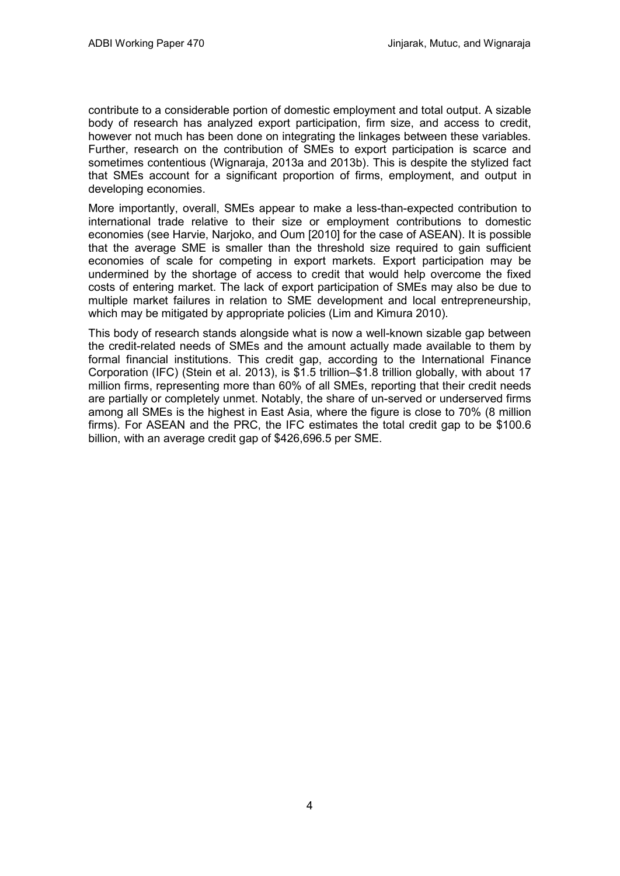contribute to a considerable portion of domestic employment and total output. A sizable body of research has analyzed export participation, firm size, and access to credit, however not much has been done on integrating the linkages between these variables. Further, research on the contribution of SMEs to export participation is scarce and sometimes contentious (Wignaraja, 2013a and 2013b). This is despite the stylized fact that SMEs account for a significant proportion of firms, employment, and output in developing economies.

More importantly, overall, SMEs appear to make a less-than-expected contribution to international trade relative to their size or employment contributions to domestic economies (see Harvie, Narjoko, and Oum [2010] for the case of ASEAN). It is possible that the average SME is smaller than the threshold size required to gain sufficient economies of scale for competing in export markets. Export participation may be undermined by the shortage of access to credit that would help overcome the fixed costs of entering market. The lack of export participation of SMEs may also be due to multiple market failures in relation to SME development and local entrepreneurship, which may be mitigated by appropriate policies (Lim and Kimura 2010).

This body of research stands alongside what is now a well-known sizable gap between the credit-related needs of SMEs and the amount actually made available to them by formal financial institutions. This credit gap, according to the International Finance Corporation (IFC) (Stein et al. 2013), is \$1.5 trillion–\$1.8 trillion globally, with about 17 million firms, representing more than 60% of all SMEs, reporting that their credit needs are partially or completely unmet. Notably, the share of un-served or underserved firms among all SMEs is the highest in East Asia, where the figure is close to 70% (8 million firms). For ASEAN and the PRC, the IFC estimates the total credit gap to be \$100.6 billion, with an average credit gap of \$426,696.5 per SME.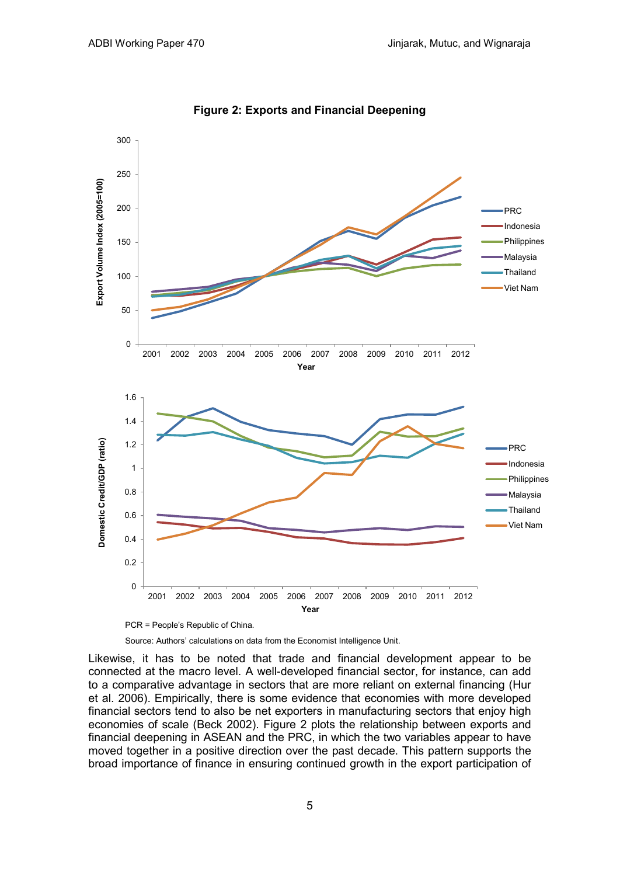

**Figure 2: Exports and Financial Deepening**

Likewise, it has to be noted that trade and financial development appear to be connected at the macro level. A well-developed financial sector, for instance, can add to a comparative advantage in sectors that are more reliant on external financing (Hur et al. 2006). Empirically, there is some evidence that economies with more developed financial sectors tend to also be net exporters in manufacturing sectors that enjoy high economies of scale (Beck 2002). Figure 2 plots the relationship between exports and financial deepening in ASEAN and the PRC, in which the two variables appear to have moved together in a positive direction over the past decade. This pattern supports the broad importance of finance in ensuring continued growth in the export participation of

PCR = People's Republic of China.

Source: Authors' calculations on data from the Economist Intelligence Unit.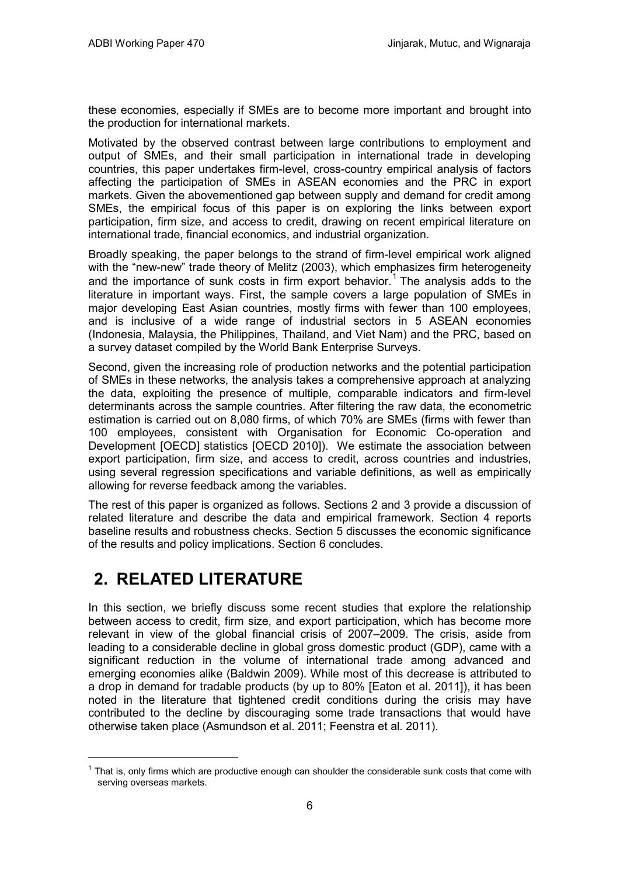these economies, especially if SMEs are to become more important and brought into the production for international markets.

Motivated by the observed contrast between large contributions to employment and output of SMEs, and their small participation in international trade in developing countries, this paper undertakes firm-level, cross-country empirical analysis of factors affecting the participation of SMEs in ASEAN economies and the PRC in export markets. Given the abovementioned gap between supply and demand for credit among SMEs, the empirical focus of this paper is on exploring the links between export participation, firm size, and access to credit, drawing on recent empirical literature on international trade, financial economics, and industrial organization.

Broadly speaking, the paper belongs to the strand of firm-level empirical work aligned with the "new-new" trade theory of Melitz (2003), which emphasizes firm heterogeneity and the importance of sunk costs in firm export behavior.<sup>[1](#page-7-0)</sup> The analysis adds to the literature in important ways. First, the sample covers a large population of SMEs in major developing East Asian countries, mostly firms with fewer than 100 employees, and is inclusive of a wide range of industrial sectors in 5 ASEAN economies (Indonesia, Malaysia, the Philippines, Thailand, and Viet Nam) and the PRC, based on a survey dataset compiled by the World Bank Enterprise Surveys.

Second, given the increasing role of production networks and the potential participation of SMEs in these networks, the analysis takes a comprehensive approach at analyzing the data, exploiting the presence of multiple, comparable indicators and firm-level determinants across the sample countries. After filtering the raw data, the econometric estimation is carried out on 8,080 firms, of which 70% are SMEs (firms with fewer than 100 employees, consistent with Organisation for Economic Co-operation and Development [OECD] statistics [OECD 2010]). We estimate the association between export participation, firm size, and access to credit, across countries and industries, using several regression specifications and variable definitions, as well as empirically allowing for reverse feedback among the variables.

The rest of this paper is organized as follows. Sections 2 and 3 provide a discussion of related literature and describe the data and empirical framework. Section 4 reports baseline results and robustness checks. Section 5 discusses the economic significance of the results and policy implications. Section 6 concludes.

# **2. RELATED LITERATURE**

In this section, we briefly discuss some recent studies that explore the relationship between access to credit, firm size, and export participation, which has become more relevant in view of the global financial crisis of 2007–2009. The crisis, aside from leading to a considerable decline in global gross domestic product (GDP), came with a significant reduction in the volume of international trade among advanced and emerging economies alike (Baldwin 2009). While most of this decrease is attributed to a drop in demand for tradable products (by up to 80% [Eaton et al. 2011]), it has been noted in the literature that tightened credit conditions during the crisis may have contributed to the decline by discouraging some trade transactions that would have otherwise taken place (Asmundson et al. 2011; Feenstra et al. 2011).

<span id="page-7-0"></span> $1$  That is, only firms which are productive enough can shoulder the considerable sunk costs that come with serving overseas markets.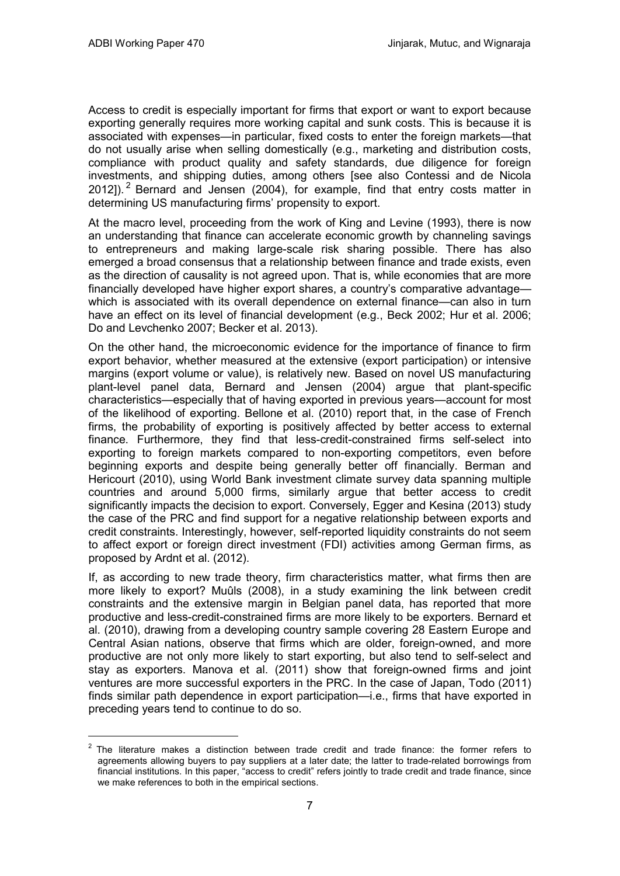Access to credit is especially important for firms that export or want to export because exporting generally requires more working capital and sunk costs. This is because it is associated with expenses—in particular, fixed costs to enter the foreign markets—that do not usually arise when selling domestically (e.g., marketing and distribution costs, compliance with product quality and safety standards, due diligence for foreign investments, and shipping duties, among others [see also Contessi and de Nicola [2](#page-8-0)012]).<sup>2</sup> Bernard and Jensen (2004), for example, find that entry costs matter in determining US manufacturing firms' propensity to export.

At the macro level, proceeding from the work of King and Levine (1993), there is now an understanding that finance can accelerate economic growth by channeling savings to entrepreneurs and making large-scale risk sharing possible. There has also emerged a broad consensus that a relationship between finance and trade exists, even as the direction of causality is not agreed upon. That is, while economies that are more financially developed have higher export shares, a country's comparative advantage which is associated with its overall dependence on external finance—can also in turn have an effect on its level of financial development (e.g., Beck 2002; Hur et al. 2006; Do and Levchenko 2007; Becker et al. 2013).

On the other hand, the microeconomic evidence for the importance of finance to firm export behavior, whether measured at the extensive (export participation) or intensive margins (export volume or value), is relatively new. Based on novel US manufacturing plant-level panel data, Bernard and Jensen (2004) argue that plant-specific characteristics—especially that of having exported in previous years—account for most of the likelihood of exporting. Bellone et al. (2010) report that, in the case of French firms, the probability of exporting is positively affected by better access to external finance. Furthermore, they find that less-credit-constrained firms self-select into exporting to foreign markets compared to non-exporting competitors, even before beginning exports and despite being generally better off financially. Berman and Hericourt (2010), using World Bank investment climate survey data spanning multiple countries and around 5,000 firms, similarly argue that better access to credit significantly impacts the decision to export. Conversely, Egger and Kesina (2013) study the case of the PRC and find support for a negative relationship between exports and credit constraints. Interestingly, however, self-reported liquidity constraints do not seem to affect export or foreign direct investment (FDI) activities among German firms, as proposed by Ardnt et al. (2012).

If, as according to new trade theory, firm characteristics matter, what firms then are more likely to export? Muûls (2008), in a study examining the link between credit constraints and the extensive margin in Belgian panel data, has reported that more productive and less-credit-constrained firms are more likely to be exporters. Bernard et al. (2010), drawing from a developing country sample covering 28 Eastern Europe and Central Asian nations, observe that firms which are older, foreign-owned, and more productive are not only more likely to start exporting, but also tend to self-select and stay as exporters. Manova et al. (2011) show that foreign-owned firms and joint ventures are more successful exporters in the PRC. In the case of Japan, Todo (2011) finds similar path dependence in export participation—i.e., firms that have exported in preceding years tend to continue to do so.

<span id="page-8-0"></span> $2$  The literature makes a distinction between trade credit and trade finance: the former refers to agreements allowing buyers to pay suppliers at a later date; the latter to trade-related borrowings from financial institutions. In this paper, "access to credit" refers jointly to trade credit and trade finance, since we make references to both in the empirical sections.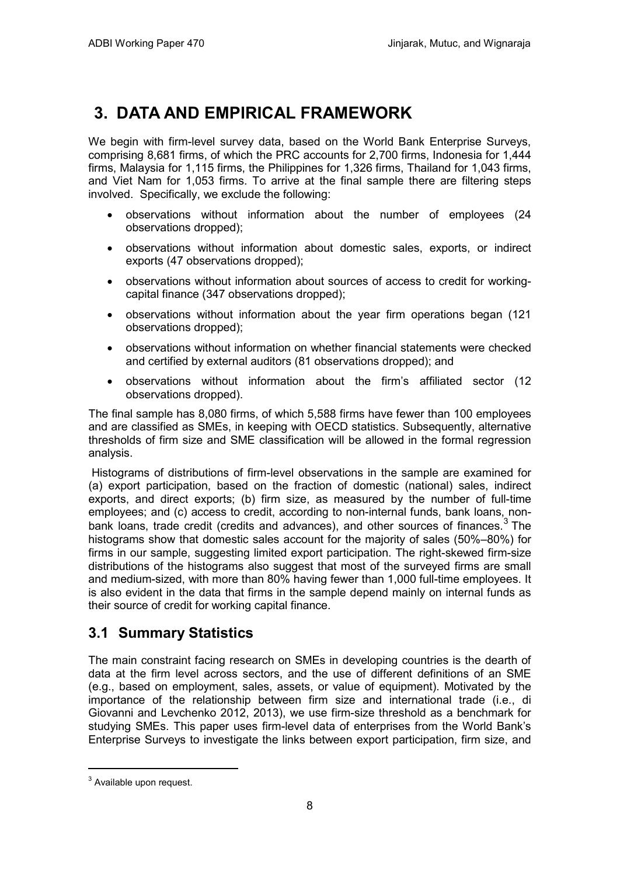# **3. DATA AND EMPIRICAL FRAMEWORK**

We begin with firm-level survey data, based on the World Bank Enterprise Surveys, comprising 8,681 firms, of which the PRC accounts for 2,700 firms, Indonesia for 1,444 firms, Malaysia for 1,115 firms, the Philippines for 1,326 firms, Thailand for 1,043 firms, and Viet Nam for 1,053 firms. To arrive at the final sample there are filtering steps involved. Specifically, we exclude the following:

- observations without information about the number of employees (24 observations dropped);
- observations without information about domestic sales, exports, or indirect exports (47 observations dropped);
- observations without information about sources of access to credit for workingcapital finance (347 observations dropped);
- observations without information about the year firm operations began (121 observations dropped);
- observations without information on whether financial statements were checked and certified by external auditors (81 observations dropped); and
- observations without information about the firm's affiliated sector (12 observations dropped).

The final sample has 8,080 firms, of which 5,588 firms have fewer than 100 employees and are classified as SMEs, in keeping with OECD statistics. Subsequently, alternative thresholds of firm size and SME classification will be allowed in the formal regression analysis.

Histograms of distributions of firm-level observations in the sample are examined for (a) export participation, based on the fraction of domestic (national) sales, indirect exports, and direct exports; (b) firm size, as measured by the number of full-time employees; and (c) access to credit, according to non-internal funds, bank loans, non-bank loans, trade credit (credits and advances), and other sources of finances.<sup>[3](#page-9-0)</sup> The histograms show that domestic sales account for the majority of sales (50%–80%) for firms in our sample, suggesting limited export participation. The right-skewed firm-size distributions of the histograms also suggest that most of the surveyed firms are small and medium-sized, with more than 80% having fewer than 1,000 full-time employees. It is also evident in the data that firms in the sample depend mainly on internal funds as their source of credit for working capital finance.

### **3.1 Summary Statistics**

The main constraint facing research on SMEs in developing countries is the dearth of data at the firm level across sectors, and the use of different definitions of an SME (e.g., based on employment, sales, assets, or value of equipment). Motivated by the importance of the relationship between firm size and international trade (i.e., di Giovanni and Levchenko 2012, 2013), we use firm-size threshold as a benchmark for studying SMEs. This paper uses firm-level data of enterprises from the World Bank's Enterprise Surveys to investigate the links between export participation, firm size, and

<span id="page-9-0"></span><sup>&</sup>lt;sup>3</sup> Available upon request.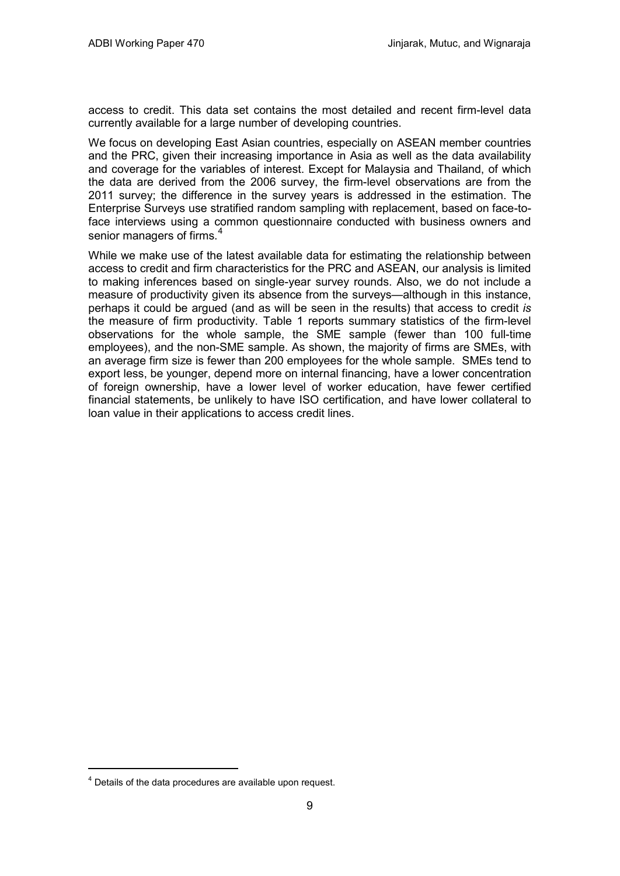access to credit. This data set contains the most detailed and recent firm-level data currently available for a large number of developing countries.

We focus on developing East Asian countries, especially on ASEAN member countries and the PRC, given their increasing importance in Asia as well as the data availability and coverage for the variables of interest. Except for Malaysia and Thailand, of which the data are derived from the 2006 survey, the firm-level observations are from the 2011 survey; the difference in the survey years is addressed in the estimation. The Enterprise Surveys use stratified random sampling with replacement, based on face-toface interviews using a common questionnaire conducted with business owners and senior managers of firms.<sup>[4](#page-10-0)</sup>

While we make use of the latest available data for estimating the relationship between access to credit and firm characteristics for the PRC and ASEAN, our analysis is limited to making inferences based on single-year survey rounds. Also, we do not include a measure of productivity given its absence from the surveys—although in this instance, perhaps it could be argued (and as will be seen in the results) that access to credit *is*  the measure of firm productivity. Table 1 reports summary statistics of the firm-level observations for the whole sample, the SME sample (fewer than 100 full-time employees), and the non-SME sample. As shown, the majority of firms are SMEs, with an average firm size is fewer than 200 employees for the whole sample. SMEs tend to export less, be younger, depend more on internal financing, have a lower concentration of foreign ownership, have a lower level of worker education, have fewer certified financial statements, be unlikely to have ISO certification, and have lower collateral to loan value in their applications to access credit lines.

<span id="page-10-0"></span> <sup>4</sup> Details of the data procedures are available upon request.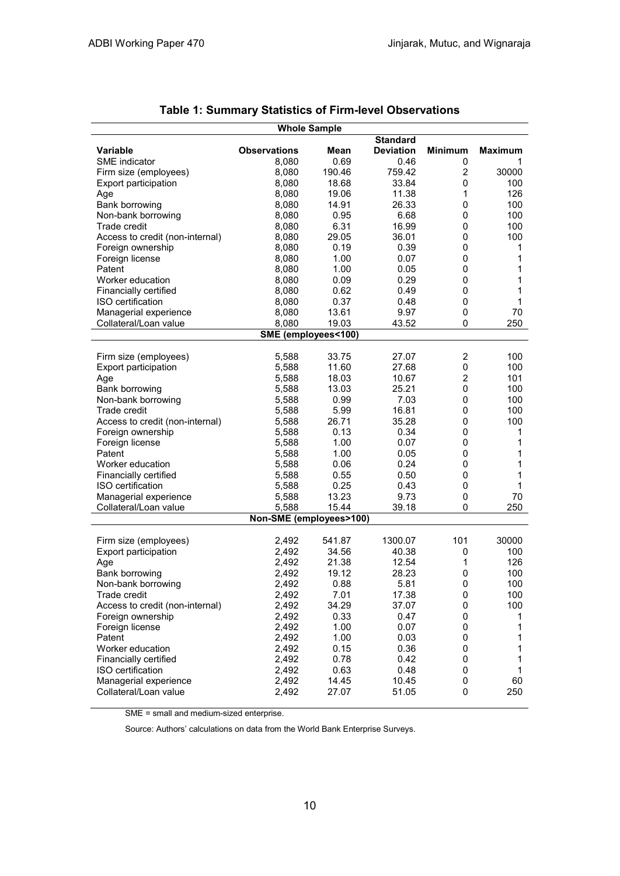|                                 |                         | <b>Whole Sample</b> |                  |                |                |
|---------------------------------|-------------------------|---------------------|------------------|----------------|----------------|
|                                 |                         |                     | <b>Standard</b>  |                |                |
| Variable                        | <b>Observations</b>     | Mean                | <b>Deviation</b> | <b>Minimum</b> | <b>Maximum</b> |
| SME indicator                   | 8,080                   | 0.69                | 0.46             | 0              | 1              |
| Firm size (employees)           | 8,080                   | 190.46              | 759.42           | $\overline{2}$ | 30000          |
| Export participation            | 8,080                   | 18.68               | 33.84            | 0              | 100            |
| Age                             | 8,080                   | 19.06               | 11.38            | 1              | 126            |
| Bank borrowing                  | 8,080                   | 14.91               | 26.33            | 0              | 100            |
| Non-bank borrowing              | 8,080                   | 0.95                | 6.68             | $\pmb{0}$      | 100            |
| Trade credit                    | 8,080                   | 6.31                | 16.99            | $\mathbf 0$    | 100            |
| Access to credit (non-internal) | 8,080                   | 29.05               | 36.01            | $\pmb{0}$      | 100            |
| Foreign ownership               | 8,080                   | 0.19                | 0.39             | 0              | 1              |
| Foreign license                 | 8,080                   | 1.00                | 0.07             | 0              | 1              |
| Patent                          | 8,080                   | 1.00                | 0.05             | 0              | 1              |
| Worker education                | 8,080                   | 0.09                | 0.29             | 0              | 1              |
|                                 |                         |                     |                  |                |                |
| Financially certified           | 8,080                   | 0.62                | 0.49             | $\mathbf 0$    | 1              |
| ISO certification               | 8,080                   | 0.37                | 0.48             | $\mathbf 0$    | 1              |
| Managerial experience           | 8,080                   | 13.61               | 9.97             | $\pmb{0}$      | 70             |
| Collateral/Loan value           | 8,080                   | 19.03               | 43.52            | 0              | 250            |
|                                 |                         | SME (employees<100) |                  |                |                |
|                                 |                         |                     |                  |                |                |
| Firm size (employees)           | 5,588                   | 33.75               | 27.07            | $\overline{2}$ | 100            |
| Export participation            | 5,588                   | 11.60               | 27.68            | 0              | 100            |
| Age                             | 5,588                   | 18.03               | 10.67            | $\overline{2}$ | 101            |
| Bank borrowing                  | 5,588                   | 13.03               | 25.21            | $\mathbf 0$    | 100            |
| Non-bank borrowing              | 5,588                   | 0.99                | 7.03             | $\pmb{0}$      | 100            |
| Trade credit                    | 5,588                   | 5.99                | 16.81            | 0              | 100            |
| Access to credit (non-internal) | 5,588                   | 26.71               | 35.28            | 0              | 100            |
| Foreign ownership               | 5,588                   | 0.13                | 0.34             | $\mathbf 0$    | 1              |
| Foreign license                 | 5,588                   | 1.00                | 0.07             | 0              | 1              |
| Patent                          | 5,588                   | 1.00                | 0.05             | 0              | 1              |
| Worker education                | 5,588                   | 0.06                | 0.24             | 0              | 1              |
| Financially certified           | 5,588                   | 0.55                | 0.50             | $\pmb{0}$      | 1              |
| ISO certification               | 5,588                   | 0.25                | 0.43             | 0              | 1              |
| Managerial experience           | 5,588                   | 13.23               | 9.73             | 0              | 70             |
| Collateral/Loan value           | 5,588                   | 15.44               | 39.18            | 0              | 250            |
|                                 | Non-SME (employees>100) |                     |                  |                |                |
|                                 |                         |                     |                  |                |                |
| Firm size (employees)           | 2,492                   | 541.87              | 1300.07          | 101            | 30000          |
| Export participation            | 2,492                   | 34.56               | 40.38            | 0              | 100            |
| Age                             | 2,492                   | 21.38               | 12.54            | 1              | 126            |
| Bank borrowing                  | 2,492                   | 19.12               | 28.23            | 0              | 100            |
| Non-bank borrowing              | 2,492                   | 0.88                | 5.81             | $\mathbf 0$    | 100            |
| Trade credit                    | 2,492                   | 7.01                | 17.38            | 0              | 100            |
| Access to credit (non-internal) | 2,492                   | 34.29               | 37.07            | 0              | 100            |
| Foreign ownership               | 2,492                   | 0.33                | 0.47             | 0              | 1.             |
| Foreign license                 | 2,492                   | 1.00                | 0.07             | 0              | 1              |
|                                 |                         |                     |                  |                |                |
| Patent                          | 2,492                   | 1.00                | 0.03             | 0              | 1              |
| Worker education                | 2,492                   | 0.15                | 0.36             | 0              | 1              |
| Financially certified           | 2,492                   | 0.78                | 0.42             | 0              | 1              |
| ISO certification               | 2,492                   | 0.63                | 0.48             | 0              | 1              |
| Managerial experience           | 2,492                   | 14.45               | 10.45            | 0              | 60             |
| Collateral/Loan value           | 2,492                   | 27.07               | 51.05            | 0              | 250            |

### **Table 1: Summary Statistics of Firm-level Observations**

SME = small and medium-sized enterprise.

Source: Authors' calculations on data from the World Bank Enterprise Surveys.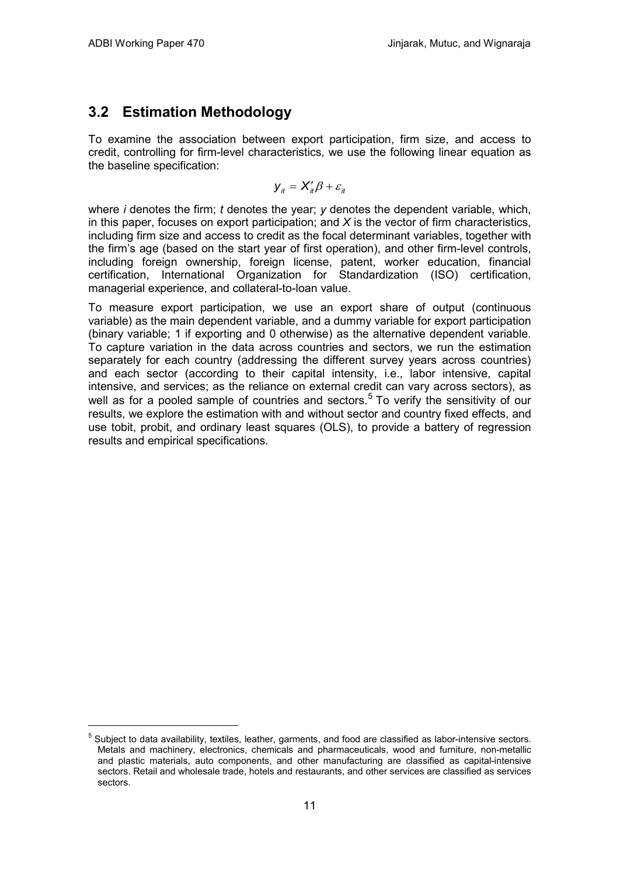### **3.2 Estimation Methodology**

To examine the association between export participation, firm size, and access to credit, controlling for firm-level characteristics, we use the following linear equation as the baseline specification:

$$
\mathbf{y}_{it} = \mathbf{X}_{it}'\boldsymbol{\beta} + \varepsilon_{it}
$$

where *i* denotes the firm; *t* denotes the year; *y* denotes the dependent variable, which, in this paper, focuses on export participation; and *X* is the vector of firm characteristics, including firm size and access to credit as the focal determinant variables, together with the firm's age (based on the start year of first operation), and other firm-level controls, including foreign ownership, foreign license, patent, worker education, financial certification, International Organization for Standardization (ISO) certification, managerial experience, and collateral-to-loan value.

To measure export participation, we use an export share of output (continuous variable) as the main dependent variable, and a dummy variable for export participation (binary variable; 1 if exporting and 0 otherwise) as the alternative dependent variable. To capture variation in the data across countries and sectors, we run the estimation separately for each country (addressing the different survey years across countries) and each sector (according to their capital intensity, i.e., labor intensive, capital intensive, and services; as the reliance on external credit can vary across sectors), as well as for a pooled sample of countries and sectors.<sup>[5](#page-12-0)</sup> To verify the sensitivity of our results, we explore the estimation with and without sector and country fixed effects, and use tobit, probit, and ordinary least squares (OLS), to provide a battery of regression results and empirical specifications.

<span id="page-12-0"></span> <sup>5</sup> Subject to data availability, textiles, leather, garments, and food are classified as labor-intensive sectors. Metals and machinery, electronics, chemicals and pharmaceuticals, wood and furniture, non-metallic and plastic materials, auto components, and other manufacturing are classified as capital-intensive sectors. Retail and wholesale trade, hotels and restaurants, and other services are classified as services sectors.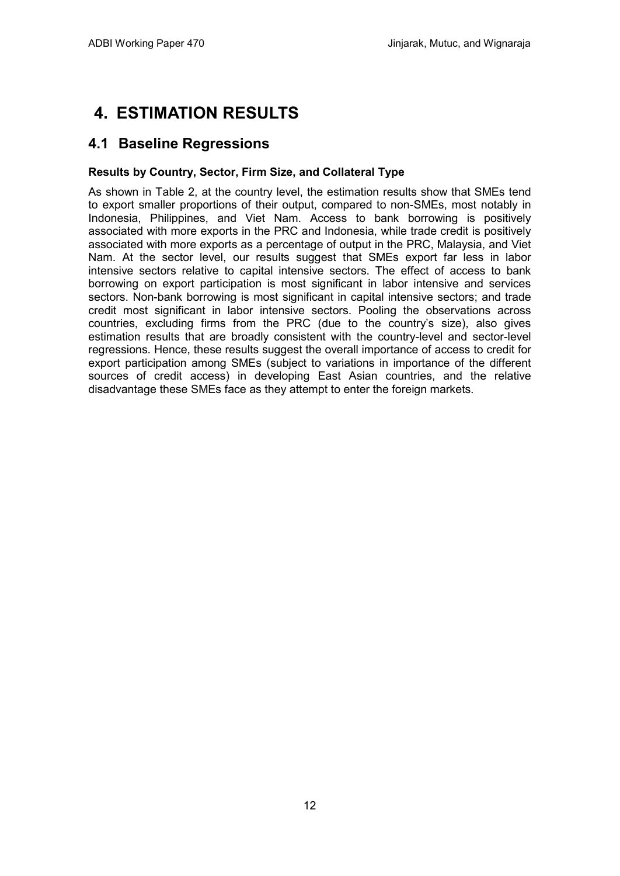# **4. ESTIMATION RESULTS**

### **4.1 Baseline Regressions**

### **Results by Country, Sector, Firm Size, and Collateral Type**

As shown in Table 2, at the country level, the estimation results show that SMEs tend to export smaller proportions of their output, compared to non-SMEs, most notably in Indonesia, Philippines, and Viet Nam. Access to bank borrowing is positively associated with more exports in the PRC and Indonesia, while trade credit is positively associated with more exports as a percentage of output in the PRC, Malaysia, and Viet Nam. At the sector level, our results suggest that SMEs export far less in labor intensive sectors relative to capital intensive sectors. The effect of access to bank borrowing on export participation is most significant in labor intensive and services sectors. Non-bank borrowing is most significant in capital intensive sectors; and trade credit most significant in labor intensive sectors. Pooling the observations across countries, excluding firms from the PRC (due to the country's size), also gives estimation results that are broadly consistent with the country-level and sector-level regressions. Hence, these results suggest the overall importance of access to credit for export participation among SMEs (subject to variations in importance of the different sources of credit access) in developing East Asian countries, and the relative disadvantage these SMEs face as they attempt to enter the foreign markets.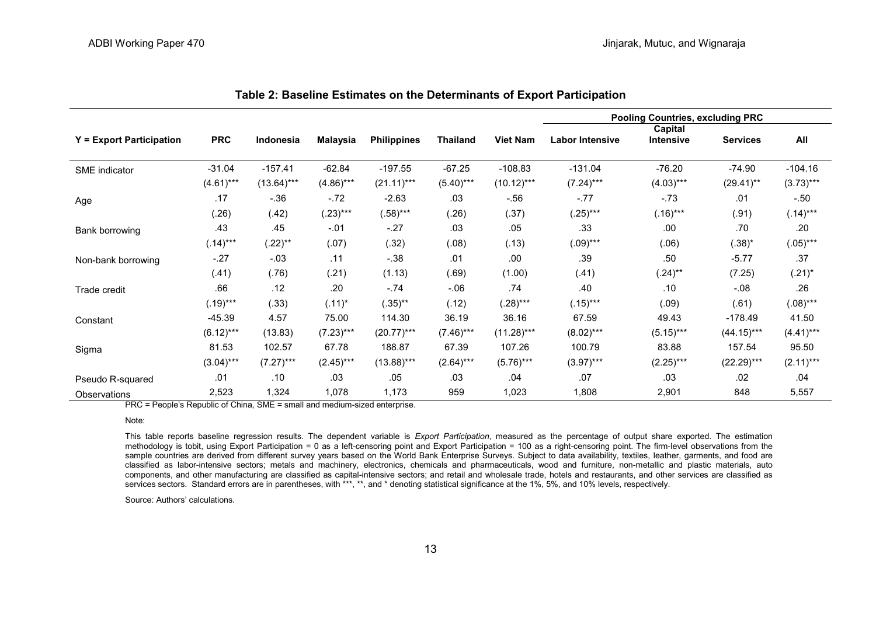|                                 |             |                  |             |                    |                 |                 | <b>Pooling Countries, excluding PRC</b> |                             |                 |             |  |  |
|---------------------------------|-------------|------------------|-------------|--------------------|-----------------|-----------------|-----------------------------------------|-----------------------------|-----------------|-------------|--|--|
| <b>Y</b> = Export Participation | <b>PRC</b>  | <b>Indonesia</b> | Malaysia    | <b>Philippines</b> | <b>Thailand</b> | <b>Viet Nam</b> | <b>Labor Intensive</b>                  | Capital<br><b>Intensive</b> | <b>Services</b> | All         |  |  |
| SME indicator                   | $-31.04$    | $-157.41$        | $-62.84$    | $-197.55$          | $-67.25$        | $-108.83$       | $-131.04$                               | $-76.20$                    | $-74.90$        | $-104.16$   |  |  |
|                                 | $(4.61)***$ | $(13.64)***$     | $(4.86)***$ | $(21.11)***$       | $(5.40)$ ***    | $(10.12)***$    | $(7.24)***$                             | $(4.03)***$                 | $(29.41)$ **    | $(3.73)***$ |  |  |
| Age                             | .17         | $-.36$           | $-.72$      | $-2.63$            | .03             | $-.56$          | $-.77$                                  | $-.73$                      | .01             | $-.50$      |  |  |
|                                 | (.26)       | (.42)            | $(.23)***$  | $(.58)***$         | (.26)           | (.37)           | $(.25)***$                              | $(.16)***$                  | (.91)           | $(.14)***$  |  |  |
| Bank borrowing                  | .43         | .45              | $-.01$      | $-.27$             | .03             | .05             | .33                                     | .00                         | .70             | .20         |  |  |
|                                 | $(.14)***$  | $(.22)$ **       | (.07)       | (.32)              | (.08)           | (.13)           | $(.09)$ ***                             | (.06)                       | $(.38)^*$       | $(.05)***$  |  |  |
| Non-bank borrowing              | $-27$       | $-.03$           | .11         | $-.38$             | .01             | .00.            | .39                                     | .50                         | $-5.77$         | .37         |  |  |
|                                 | (.41)       | (.76)            | (.21)       | (1.13)             | (.69)           | (1.00)          | (.41)                                   | $(.24)$ **                  | (7.25)          | $(.21)^*$   |  |  |
| Trade credit                    | .66         | .12              | .20         | $-74$              | $-06$           | .74             | .40                                     | .10                         | $-.08$          | .26         |  |  |
|                                 | $(.19)***$  | (.33)            | $(.11)^*$   | $(.35)$ **         | (.12)           | $(28)***$       | $(.15)***$                              | (.09)                       | (.61)           | $(.08)***$  |  |  |
| Constant                        | $-45.39$    | 4.57             | 75.00       | 114.30             | 36.19           | 36.16           | 67.59                                   | 49.43                       | $-178.49$       | 41.50       |  |  |
|                                 | $(6.12)***$ | (13.83)          | $(7.23)***$ | $(20.77)$ ***      | $(7.46)$ ***    | $(11.28)***$    | $(8.02)***$                             | $(5.15)***$                 | $(44.15)***$    | $(4.41)***$ |  |  |
| Sigma                           | 81.53       | 102.57           | 67.78       | 188.87             | 67.39           | 107.26          | 100.79                                  | 83.88                       | 157.54          | 95.50       |  |  |
|                                 | $(3.04)***$ | $(7.27)***$      | $(2.45)***$ | $(13.88)***$       | $(2.64)***$     | $(5.76)***$     | $(3.97)***$                             | $(2.25)***$                 | $(22.29)***$    | $(2.11)***$ |  |  |
| Pseudo R-squared                | .01         | .10              | .03         | .05                | .03             | .04             | .07                                     | .03                         | .02             | .04         |  |  |
| Observations                    | 2,523       | 1,324            | 1,078       | 1,173              | 959             | 1,023           | 1,808                                   | 2,901                       | 848             | 5,557       |  |  |

| Table 2: Baseline Estimates on the Determinants of Export Participation |
|-------------------------------------------------------------------------|
|-------------------------------------------------------------------------|

PRC = People's Republic of China, SME = small and medium-sized enterprise.

#### Note:

This table reports baseline regression results. The dependent variable is *Export Participation*, measured as the percentage of output share exported. The estimation methodology is tobit, using Export Participation = 0 as a left-censoring point and Export Participation = 100 as a right-censoring point. The firm-level observations from the sample countries are derived from different survey years based on the World Bank Enterprise Surveys. Subject to data availability, textiles, leather, garments, and food are classified as labor-intensive sectors; metals and machinery, electronics, chemicals and pharmaceuticals, wood and furniture, non-metallic and plastic materials, auto components, and other manufacturing are classified as capital-intensive sectors; and retail and wholesale trade, hotels and restaurants, and other services are classified as services sectors. Standard errors are in parentheses, with \*\*\*, \*\*, and \* denoting statistical significance at the 1%, 5%, and 10% levels, respectively.

Source: Authors' calculations.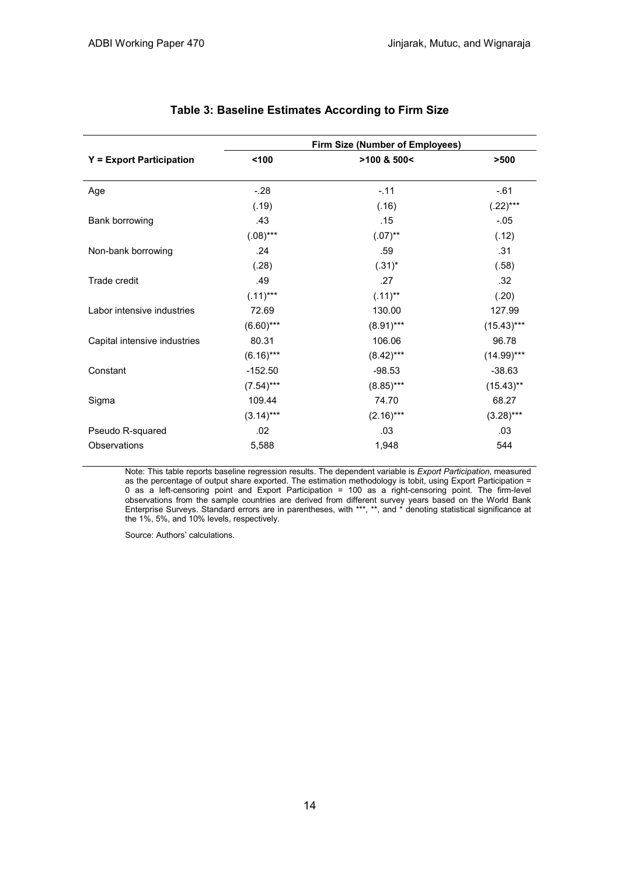|                                 |             | Firm Size (Number of Employees) |              |  |
|---------------------------------|-------------|---------------------------------|--------------|--|
| <b>Y</b> = Export Participation | 100         | >100 & 500<                     | >500         |  |
| Age                             | $-28$       | $-.11$                          | $-.61$       |  |
|                                 | (.19)       | (.16)                           | $(.22)***$   |  |
| Bank borrowing                  | .43         | .15                             | $-.05$       |  |
|                                 | $(.08)$ *** | $(.07)$ **                      | (.12)        |  |
| Non-bank borrowing              | .24         | .59                             | .31          |  |
|                                 | (.28)       | $(.31)^*$                       | (.58)        |  |
| Trade credit                    | .49         | .27                             | .32          |  |
|                                 | $(.11)***$  | $(.11)^{**}$                    | (.20)        |  |
| Labor intensive industries      | 72.69       | 130.00                          | 127.99       |  |
|                                 | $(6.60)***$ | $(8.91)***$                     | $(15.43)***$ |  |
| Capital intensive industries    | 80.31       | 106.06                          | 96.78        |  |
|                                 | $(6.16)***$ | $(8.42)***$                     | $(14.99)***$ |  |
| Constant                        | $-152.50$   | $-98.53$                        | $-38.63$     |  |
|                                 | $(7.54)***$ | $(8.85)***$                     | $(15.43)$ ** |  |
| Sigma                           | 109.44      | 74.70                           | 68.27        |  |
|                                 | $(3.14)***$ | $(2.16)***$                     | $(3.28)***$  |  |
| Pseudo R-squared                | .02         | .03                             | .03          |  |
| Observations                    | 5,588       | 1,948                           | 544          |  |

#### **Table 3: Baseline Estimates According to Firm Size**

Note: This table reports baseline regression results. The dependent variable is *Export Participation*, measured as the percentage of output share exported. The estimation methodology is tobit, using Export Participation = 0 as a left-censoring point and Export Participation = 100 as a right-censoring point. The firm-level observations from the sample countries are derived from different survey years based on the World Bank Enterprise Surveys. Standard errors are in parentheses, with \*\*\*, \*\*, and \* denoting statistical significance at the 1%, 5%, and 10% levels, respectively.

Source: Authors' calculations.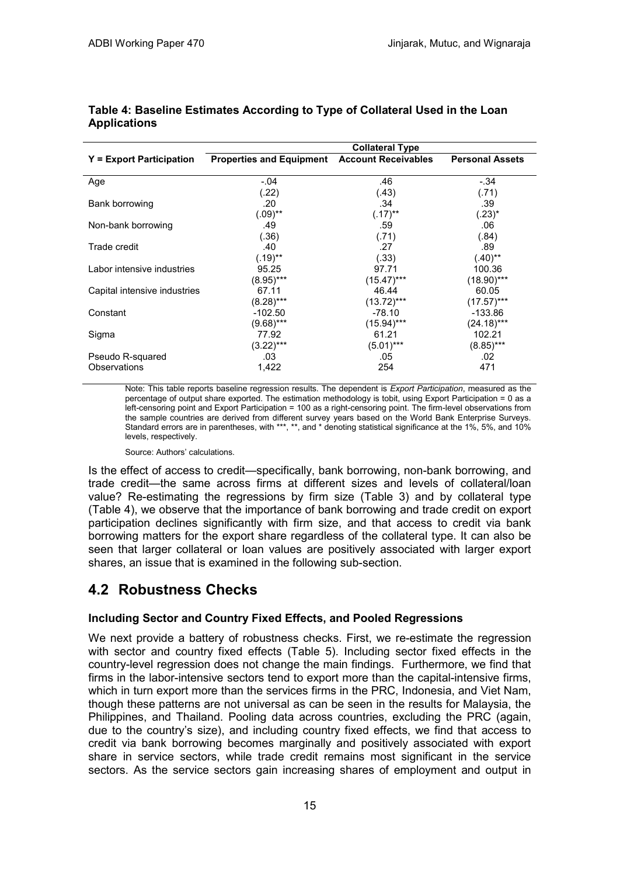|              | <b>Collateral Type</b>        |                                                              |
|--------------|-------------------------------|--------------------------------------------------------------|
|              |                               | <b>Personal Assets</b>                                       |
|              |                               |                                                              |
|              |                               | - 34                                                         |
|              |                               | (.71)                                                        |
| .20          | .34                           | .39                                                          |
|              | $(.17)$ **                    | $(.23)^*$                                                    |
| .49          | .59                           | .06                                                          |
| (.36)        | (.71)                         | (.84)                                                        |
| .40          | .27                           | .89                                                          |
| $(.19)$ **   | (.33)                         | $(.40)$ **                                                   |
| 95.25        | 97.71                         | 100.36                                                       |
| $(8.95)$ *** | $(15.47)$ ***                 | $(18.90)$ ***                                                |
| 67.11        | 46.44                         | 60.05                                                        |
| $(8.28)$ *** | $(13.72)***$                  | $(17.57)$ ***                                                |
| $-102.50$    | -78.10                        | $-133.86$                                                    |
| $(9.68)$ *** | $(15.94)$ ***                 | $(24.18)***$                                                 |
| 77.92        | 61.21                         | 102.21                                                       |
| $(3.22)***$  | $(5.01***$                    | $(8.85)***$                                                  |
| .03          | .05                           | .02                                                          |
| 1,422        | 254                           | 471                                                          |
|              | $-.04$<br>(.22)<br>$(.09)$ ** | Properties and Equipment Account Receivables<br>.46<br>(.43) |

#### **Table 4: Baseline Estimates According to Type of Collateral Used in the Loan Applications**

Note: This table reports baseline regression results. The dependent is *Export Participation*, measured as the percentage of output share exported. The estimation methodology is tobit, using Export Participation = 0 as a left-censoring point and Export Participation = 100 as a right-censoring point. The firm-level observations from the sample countries are derived from different survey years based on the World Bank Enterprise Surveys. Standard errors are in parentheses, with \*\*\*, \*\*, and \* denoting statistical significance at the 1%, 5%, and 10% levels, respectively.

Source: Authors' calculations.

Is the effect of access to credit—specifically, bank borrowing, non-bank borrowing, and trade credit—the same across firms at different sizes and levels of collateral/loan value? Re-estimating the regressions by firm size (Table 3) and by collateral type (Table 4), we observe that the importance of bank borrowing and trade credit on export participation declines significantly with firm size, and that access to credit via bank borrowing matters for the export share regardless of the collateral type. It can also be seen that larger collateral or loan values are positively associated with larger export shares, an issue that is examined in the following sub-section.

### **4.2 Robustness Checks**

#### **Including Sector and Country Fixed Effects, and Pooled Regressions**

We next provide a battery of robustness checks. First, we re-estimate the regression with sector and country fixed effects (Table 5). Including sector fixed effects in the country-level regression does not change the main findings. Furthermore, we find that firms in the labor-intensive sectors tend to export more than the capital-intensive firms, which in turn export more than the services firms in the PRC, Indonesia, and Viet Nam, though these patterns are not universal as can be seen in the results for Malaysia, the Philippines, and Thailand. Pooling data across countries, excluding the PRC (again, due to the country's size), and including country fixed effects, we find that access to credit via bank borrowing becomes marginally and positively associated with export share in service sectors, while trade credit remains most significant in the service sectors. As the service sectors gain increasing shares of employment and output in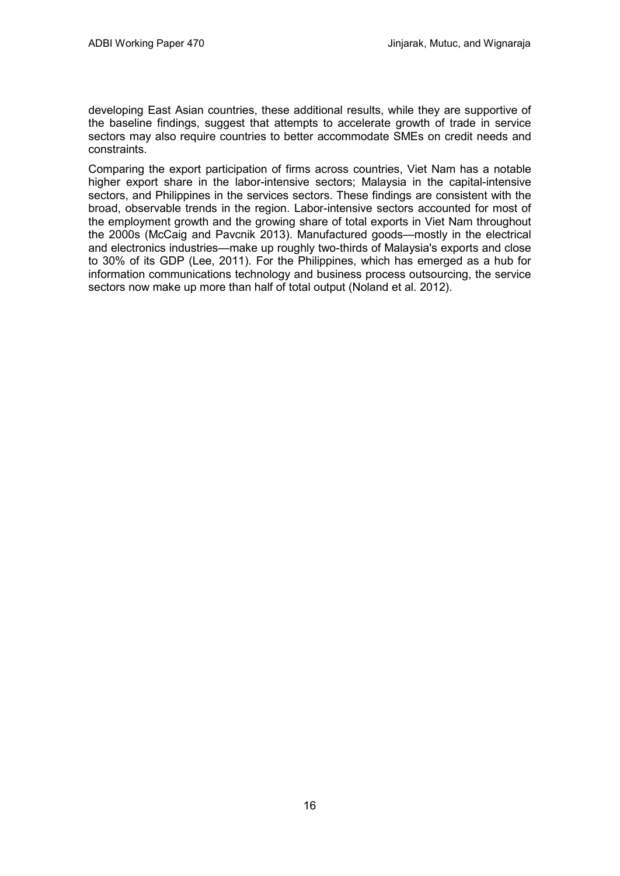developing East Asian countries, these additional results, while they are supportive of the baseline findings, suggest that attempts to accelerate growth of trade in service sectors may also require countries to better accommodate SMEs on credit needs and constraints.

Comparing the export participation of firms across countries, Viet Nam has a notable higher export share in the labor-intensive sectors; Malaysia in the capital-intensive sectors, and Philippines in the services sectors. These findings are consistent with the broad, observable trends in the region. Labor-intensive sectors accounted for most of the employment growth and the growing share of total exports in Viet Nam throughout the 2000s (McCaig and Pavcnik 2013). Manufactured goods—mostly in the electrical and electronics industries—make up roughly two-thirds of Malaysia's exports and close to 30% of its GDP (Lee, 2011). For the Philippines, which has emerged as a hub for information communications technology and business process outsourcing, the service sectors now make up more than half of total output (Noland et al. 2012).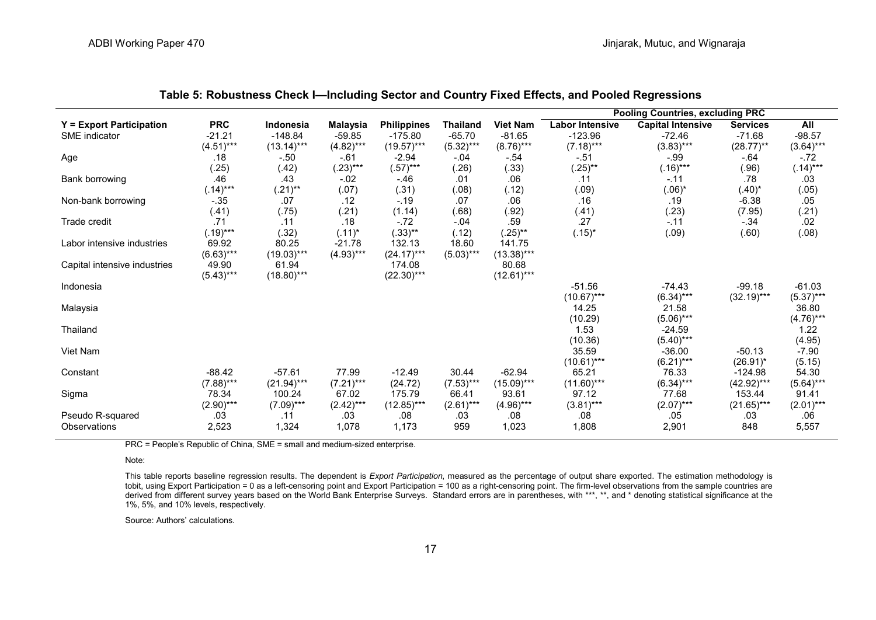|                              |              |              |                 |                    |                 |                       | <b>Pooling Countries, excluding PRC</b> |                          |                 |             |  |
|------------------------------|--------------|--------------|-----------------|--------------------|-----------------|-----------------------|-----------------------------------------|--------------------------|-----------------|-------------|--|
| $Y =$ Export Participation   | <b>PRC</b>   | Indonesia    | <b>Malaysia</b> | <b>Philippines</b> | <b>Thailand</b> | <b>Viet Nam</b>       | <b>Labor Intensive</b>                  | <b>Capital Intensive</b> | <b>Services</b> | All         |  |
| SME indicator                | $-21.21$     | $-148.84$    | $-59.85$        | $-175.80$          | $-65.70$        | $-81.65$              | $-123.96$                               | $-72.46$                 | -71.68          | $-98.57$    |  |
|                              | $(4.51)***$  | $(13.14)***$ | $(4.82)***$     | $(19.57)***$       | $(5.32)***$     | $(8.76)***$           | $(7.18)***$                             | $(3.83)***$              | $(28.77)$ **    | $(3.64)***$ |  |
| Age                          | .18          | $-50$        | $-61$           | $-2.94$            | $-.04$          | $-.54$                | $-51$                                   | $-.99$                   | $-.64$          | $-.72$      |  |
|                              | (.25)        | (.42)        | $(.23)***$      | $(.57)***$         | (.26)           | (.33)                 | $(.25)$ **                              | $(.16)***$               | (.96)           | $(.14)***$  |  |
| Bank borrowing               | .46          | .43          | $-.02$          | $-.46$             | .01             | .06                   | .11                                     | $-11$                    | .78             | .03         |  |
|                              | $(.14)***$   | $(.21)$ **   | (.07)           | (.31)              | (.08)           | (.12)                 | (.09)                                   | $(.06)^*$                | (.40)*          | (.05)       |  |
| Non-bank borrowing           | $-.35$       | .07          | .12             | $-.19$             | .07             | .06                   | .16                                     | .19                      | $-6.38$         | .05         |  |
|                              | (.41)        | (.75)        | (.21)           | (1.14)             | (.68)           | (.92)                 | (.41)                                   | (.23)                    | (7.95)          | (.21)       |  |
| Trade credit                 | .71          | .11          | .18             | $-.72$             | $-.04$          | .59                   | .27                                     | $-.11$                   | - 34            | .02         |  |
|                              | $(.19)***$   | (.32)        | $(.11)^*$       | $(.33)$ **         | (.12)           | $(.25)$ **            | $(.15)^*$                               | (.09)                    | (.60)           | (.08)       |  |
| Labor intensive industries   | 69.92        | 80.25        | $-21.78$        | 132.13             | 18.60           | 141.75                |                                         |                          |                 |             |  |
|                              | $(6.63)***$  | $(19.03)***$ | $(4.93)***$     | $(24.17)***$       | $(5.03)***$     | $(13.38)***$          |                                         |                          |                 |             |  |
| Capital intensive industries | 49.90        | 61.94        |                 | 174.08             |                 | 80.68<br>$(12.61)***$ |                                         |                          |                 |             |  |
| Indonesia                    | $(5.43)***$  | $(18.80)***$ |                 | $(22.30)***$       |                 |                       | $-51.56$                                | $-74.43$                 | $-99.18$        | $-61.03$    |  |
|                              |              |              |                 |                    |                 |                       | $(10.67)***$                            | $(6.34)***$              | $(32.19)***$    | $(5.37)***$ |  |
| Malaysia                     |              |              |                 |                    |                 |                       | 14.25                                   | 21.58                    |                 | 36.80       |  |
|                              |              |              |                 |                    |                 |                       | (10.29)                                 | $(5.06)***$              |                 | $(4.76)***$ |  |
| Thailand                     |              |              |                 |                    |                 |                       | 1.53                                    | $-24.59$                 |                 | 1.22        |  |
|                              |              |              |                 |                    |                 |                       | (10.36)                                 | $(5.40)***$              |                 | (4.95)      |  |
| Viet Nam                     |              |              |                 |                    |                 |                       | 35.59                                   | $-36.00$                 | $-50.13$        | $-7.90$     |  |
|                              |              |              |                 |                    |                 |                       | $(10.61)***$                            | $(6.21)***$              | $(26.91)^*$     | (5.15)      |  |
| Constant                     | $-88.42$     | $-57.61$     | 77.99           | $-12.49$           | 30.44           | $-62.94$              | 65.21                                   | 76.33                    | $-124.98$       | 54.30       |  |
|                              | $(7.88)***$  | $(21.94)***$ | $(7.21***$      | (24.72)            | $(7.53)***$     | $(15.09)***$          | $(11.60)***$                            | $(6.34)***$              | $(42.92)***$    | $(5.64)***$ |  |
| Sigma                        | 78.34        | 100.24       | 67.02           | 175.79             | 66.41           | 93.61                 | 97.12                                   | 77.68                    | 153.44          | 91.41       |  |
|                              | $(2.90)$ *** | $(7.09)***$  | $(2.42)***$     | $(12.85)***$       | $(2.61)***$     | $(4.96)***$           | $(3.81)***$                             | $(2.07)***$              | $(21.65)***$    | $(2.01)***$ |  |
| Pseudo R-squared             | .03          | .11          | .03             | .08                | .03             | .08                   | .08                                     | .05                      | .03             | .06         |  |
| Observations                 | 2,523        | 1,324        | 1,078           | 1,173              | 959             | 1,023                 | 1,808                                   | 2,901                    | 848             | 5,557       |  |

#### **Table 5: Robustness Check I—Including Sector and Country Fixed Effects, and Pooled Regressions**

PRC = People's Republic of China, SME = small and medium-sized enterprise.

Note:

This table reports baseline regression results. The dependent is *Export Participation*, measured as the percentage of output share exported. The estimation methodology is tobit, using Export Participation = 0 as a left-censoring point and Export Participation = 100 as a right-censoring point. The firm-level observations from the sample countries are derived from different survey years based on the World Bank Enterprise Surveys. Standard errors are in parentheses, with \*\*\*, \*\*, and \* denoting statistical significance at the 1%, 5%, and 10% levels, respectively.

Source: Authors' calculations.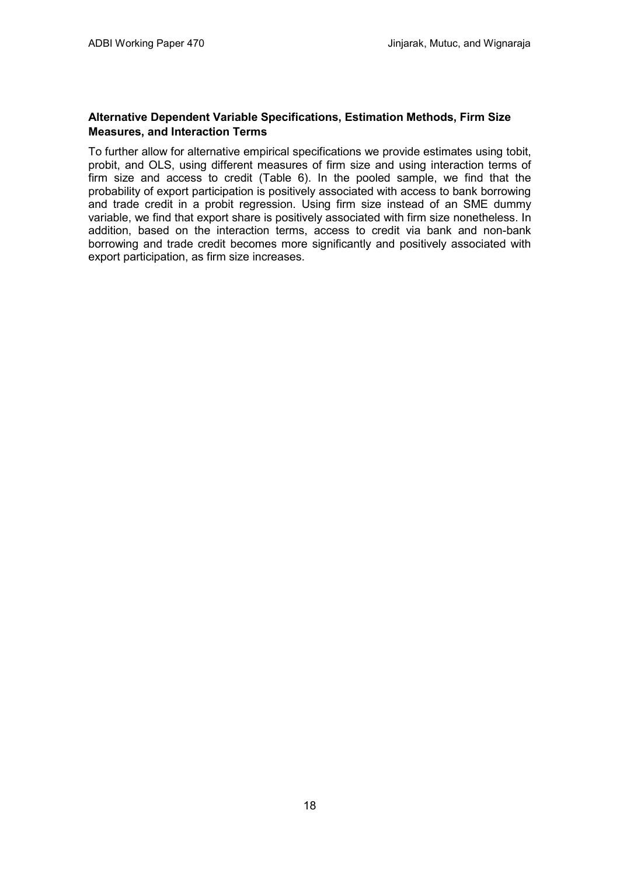#### **Alternative Dependent Variable Specifications, Estimation Methods, Firm Size Measures, and Interaction Terms**

To further allow for alternative empirical specifications we provide estimates using tobit, probit, and OLS, using different measures of firm size and using interaction terms of firm size and access to credit (Table 6). In the pooled sample, we find that the probability of export participation is positively associated with access to bank borrowing and trade credit in a probit regression. Using firm size instead of an SME dummy variable, we find that export share is positively associated with firm size nonetheless. In addition, based on the interaction terms, access to credit via bank and non-bank borrowing and trade credit becomes more significantly and positively associated with export participation, as firm size increases.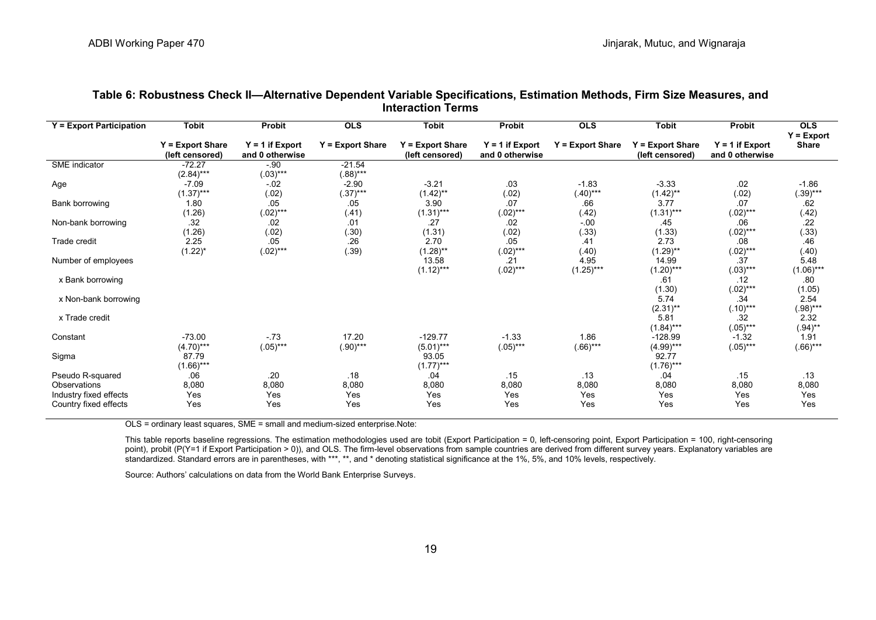| <b>Y</b> = Export Participation | <b>Tobit</b>                          | Probit                               | <b>OLS</b>         | <b>Tobit</b>                          | Probit                               | <b>OLS</b>         | <b>Tobit</b>                          | <b>Probit</b>                        | <b>OLS</b><br>$Y =$ Export |
|---------------------------------|---------------------------------------|--------------------------------------|--------------------|---------------------------------------|--------------------------------------|--------------------|---------------------------------------|--------------------------------------|----------------------------|
|                                 | $Y =$ Export Share<br>(left censored) | $Y = 1$ if Export<br>and 0 otherwise | $Y =$ Export Share | $Y =$ Export Share<br>(left censored) | $Y = 1$ if Export<br>and 0 otherwise | $Y =$ Export Share | $Y =$ Export Share<br>(left censored) | $Y = 1$ if Export<br>and 0 otherwise | <b>Share</b>               |
| <b>SME</b> indicator            | $-72.27$                              | $-.90$                               | $-21.54$           |                                       |                                      |                    |                                       |                                      |                            |
|                                 | $(2.84)***$                           | $(.03)***$                           | $(.88)***$         |                                       |                                      |                    |                                       |                                      |                            |
| Age                             | $-7.09$                               | $-02$                                | $-2.90$            | $-3.21$                               | .03                                  | $-1.83$            | $-3.33$                               | .02                                  | $-1.86$                    |
|                                 | $(1.37)***$                           | (.02)                                | $(.37)***$         | $(1.42)$ **                           | (.02)                                | $(.40)$ ***        | $(1.42)$ **                           | (.02)                                | $(.39)***$                 |
| Bank borrowing                  | 1.80                                  | .05                                  | .05                | 3.90                                  | .07                                  | .66                | 3.77                                  | .07                                  | .62                        |
|                                 | (1.26)                                | $(.02)***$                           | (.41)              | $(1.31)***$                           | $(.02)***$                           | (.42)              | $(1.31)***$                           | $(.02)***$                           | (.42)                      |
| Non-bank borrowing              | .32                                   | .02                                  | .01                | .27                                   | .02                                  | $-0.00$            | .45                                   | .06                                  | .22                        |
|                                 | (1.26)                                | (.02)                                | (.30)              | (1.31)                                | (.02)                                | (.33)              | (1.33)                                | $(.02)***$                           | (.33)                      |
| Trade credit                    | 2.25                                  | .05                                  | .26                | 2.70                                  | .05                                  | .41                | 2.73                                  | .08                                  | .46                        |
|                                 | $(1.22)^{*}$                          | $(.02)***$                           | (.39)              | $(1.28)$ **                           | $(.02)***$                           | (.40)              | $(1.29)$ **                           | $(.02)***$                           | (.40)                      |
| Number of employees             |                                       |                                      |                    | 13.58                                 | .21                                  | 4.95               | 14.99                                 | .37                                  | 5.48                       |
|                                 |                                       |                                      |                    | $(1.12)***$                           | $(.02)***$                           | $(1.25)***$        | $(1.20)$ ***                          | $(.03)***$                           | $(1.06)***$                |
| x Bank borrowing                |                                       |                                      |                    |                                       |                                      |                    | .61                                   | .12                                  | .80                        |
|                                 |                                       |                                      |                    |                                       |                                      |                    | (1.30)                                | $(.02)***$                           | (1.05)                     |
| x Non-bank borrowing            |                                       |                                      |                    |                                       |                                      |                    | 5.74                                  | .34                                  | 2.54                       |
|                                 |                                       |                                      |                    |                                       |                                      |                    | $(2.31)$ **                           | $(.10)$ ***                          | $(.98)***$                 |
| x Trade credit                  |                                       |                                      |                    |                                       |                                      |                    | 5.81                                  | .32                                  | 2.32                       |
|                                 |                                       |                                      |                    |                                       |                                      |                    | $(1.84)$ ***                          | $(.05)***$                           | $(.94)$ **                 |
| Constant                        | $-73.00$                              | $-73$                                | 17.20              | $-129.77$                             | $-1.33$                              | 1.86               | $-128.99$                             | $-1.32$                              | 1.91                       |
|                                 | $(4.70)***$                           | $(.05)***$                           | $(.90)$ ***        | $(5.01)***$                           | $(.05)***$                           | $(.66)***$         | $(4.99)***$                           | $(.05)***$                           | $(.66)***$                 |
| Sigma                           | 87.79                                 |                                      |                    | 93.05                                 |                                      |                    | 92.77                                 |                                      |                            |
|                                 | $(1.66)***$                           |                                      |                    | $(1.77)$ ***                          |                                      |                    | $(1.76)***$                           |                                      |                            |
| Pseudo R-squared                | .06                                   | .20                                  | .18                | .04                                   | .15                                  | .13                | .04                                   | .15                                  | .13                        |
| Observations                    | 8,080                                 | 8,080                                | 8,080              | 8,080                                 | 8,080                                | 8,080              | 8,080                                 | 8,080                                | 8,080                      |
| Industry fixed effects          | Yes                                   | Yes                                  | Yes                | Yes                                   | Yes                                  | Yes                | Yes                                   | Yes                                  | Yes                        |
| Country fixed effects           | Yes                                   | Yes                                  | Yes                | Yes                                   | Yes                                  | Yes                | Yes                                   | Yes                                  | Yes                        |

#### **Table 6: Robustness Check II—Alternative Dependent Variable Specifications, Estimation Methods, Firm Size Measures, and Interaction Terms**

OLS = ordinary least squares, SME = small and medium-sized enterprise.Note:

This table reports baseline regressions. The estimation methodologies used are tobit (Export Participation = 0, left-censoring point, Export Participation = 100, right-censoring point), probit (P(Y=1 if Export Participation > 0)), and OLS. The firm-level observations from sample countries are derived from different survey years. Explanatory variables are standardized. Standard errors are in parentheses, with \*\*\*, \*\*, and \* denoting statistical significance at the 1%, 5%, and 10% levels, respectively.

Source: Authors' calculations on data from the World Bank Enterprise Surveys.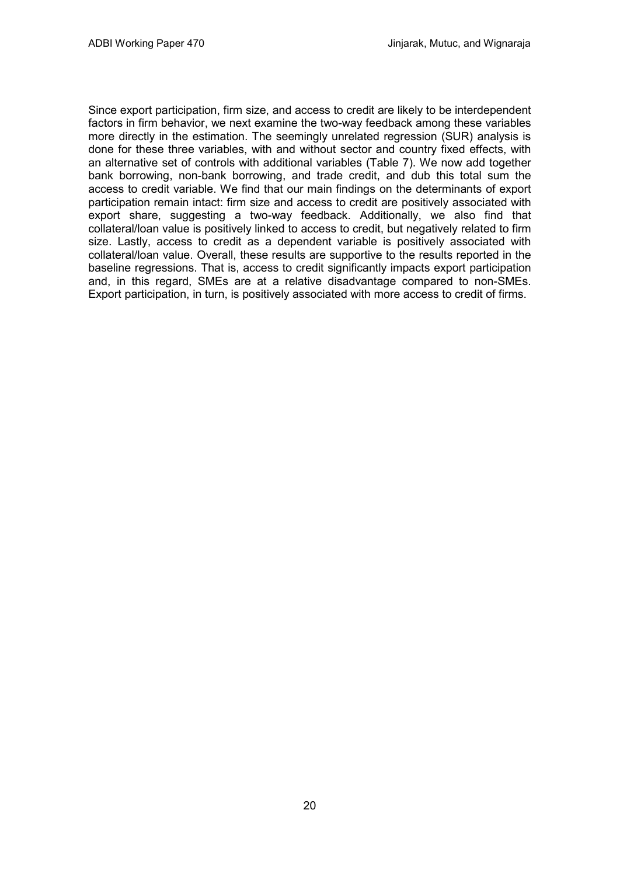Since export participation, firm size, and access to credit are likely to be interdependent factors in firm behavior, we next examine the two-way feedback among these variables more directly in the estimation. The seemingly unrelated regression (SUR) analysis is done for these three variables, with and without sector and country fixed effects, with an alternative set of controls with additional variables (Table 7). We now add together bank borrowing, non-bank borrowing, and trade credit, and dub this total sum the access to credit variable. We find that our main findings on the determinants of export participation remain intact: firm size and access to credit are positively associated with export share, suggesting a two-way feedback. Additionally, we also find that collateral/loan value is positively linked to access to credit, but negatively related to firm size. Lastly, access to credit as a dependent variable is positively associated with collateral/loan value. Overall, these results are supportive to the results reported in the baseline regressions. That is, access to credit significantly impacts export participation and, in this regard, SMEs are at a relative disadvantage compared to non-SMEs. Export participation, in turn, is positively associated with more access to credit of firms.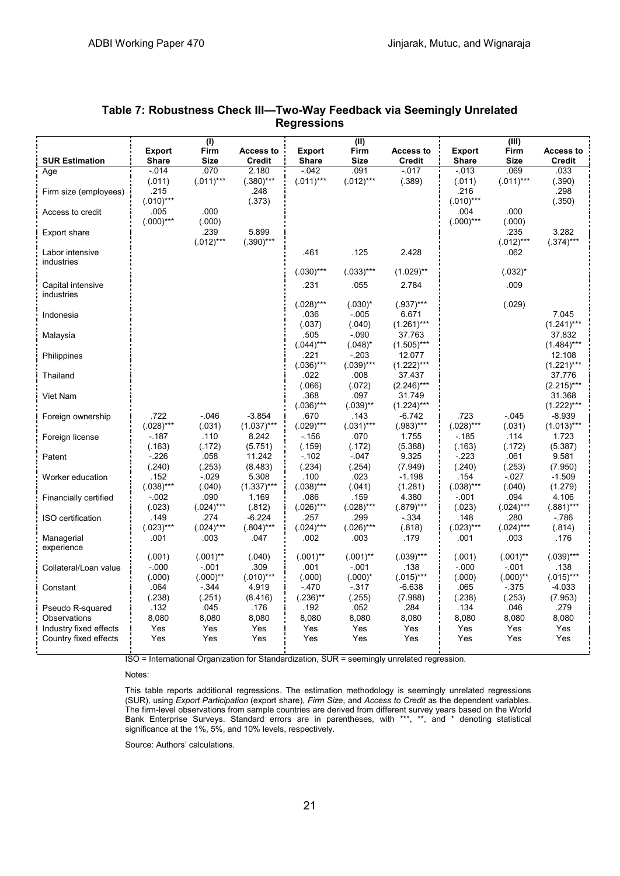|                               |              | $\overline{(\mathsf{I})}$ |                       |               | (II)                 |                         |              | (III)       |                        |
|-------------------------------|--------------|---------------------------|-----------------------|---------------|----------------------|-------------------------|--------------|-------------|------------------------|
|                               | Export       | Firm                      | <b>Access to</b>      | Export        | Firm                 | <b>Access to</b>        | Export       | Firm        | <b>Access to</b>       |
| <b>SUR Estimation</b>         | <b>Share</b> | <b>Size</b>               | Credit                | Share         | <b>Size</b>          | Credit                  | <b>Share</b> | <b>Size</b> | Credit                 |
| Age                           | $-014$       | .070                      | 2.180                 | $-042$        | .091                 | $-017$                  | $-013$       | .069        | .033                   |
|                               | (.011)       | $(.011)***$               | $(.380)$ ***          | $(.011)***$   | $(.012)***$          | (.389)                  | (.011)       | $(.011)***$ | (.390)                 |
| Firm size (employees)         | .215         |                           | .248                  |               |                      |                         | .216         |             | .298                   |
|                               | $(.010)***$  |                           | (.373)                |               |                      |                         | $(.010)***$  |             | (.350)                 |
| Access to credit              | .005         | .000                      |                       |               |                      |                         | .004         | .000        |                        |
|                               | $(.000)***$  | (.000)<br>.239            |                       |               |                      |                         | $(.000)$ *** | (.000)      |                        |
| Export share                  |              | $(.012)***$               | 5.899<br>$(.390)$ *** |               |                      |                         |              | .235        | 3.282                  |
|                               |              |                           |                       |               |                      |                         |              | $(.012)***$ | $(.374)***$            |
| Labor intensive<br>industries |              |                           |                       | .461          | .125                 | 2.428                   |              | .062        |                        |
|                               |              |                           |                       | $(.030)$ ***  | $(.033)***$          | $(1.029)$ **            |              | $(.032)^*$  |                        |
|                               |              |                           |                       |               |                      |                         |              |             |                        |
| Capital intensive             |              |                           |                       | .231          | .055                 | 2.784                   |              | .009        |                        |
| industries                    |              |                           |                       |               |                      |                         |              |             |                        |
|                               |              |                           |                       | $(.028)***$   | $(.030)^*$           | $(.937)$ ***            |              | (.029)      |                        |
| Indonesia                     |              |                           |                       | .036          | $-005$               | 6.671                   |              |             | 7.045                  |
|                               |              |                           |                       | (.037)<br>505 | (.040)<br>$-0.90$    | $(1.261)$ ***           |              |             | $(1.241)***$<br>37.832 |
| Malaysia                      |              |                           |                       | $(.044)***$   |                      | 37.763<br>$(1.505)$ *** |              |             | $(1.484)$ ***          |
|                               |              |                           |                       | .221          | $(.048)^*$<br>$-203$ | 12.077                  |              |             | 12.108                 |
| Philippines                   |              |                           |                       | $(.036)***$   | $(.039)***$          | $(1.222)***$            |              |             | $(1.221)***$           |
| Thailand                      |              |                           |                       | .022          | .008                 | 37.437                  |              |             | 37.776                 |
|                               |              |                           |                       | (.066)        | (.072)               | $(2.246)***$            |              |             | $(2.215)***$           |
|                               |              |                           |                       | .368          | .097                 | 31.749                  |              |             | 31.368                 |
| Viet Nam                      |              |                           |                       | $(.036)***$   | $(.039)$ **          | $(1.224)***$            |              |             | $(1.222)***$           |
| Foreign ownership             | .722         | $-0.046$                  | $-3.854$              | .670          | .143                 | -6.742                  | .723         | $-045$      | $-8.939$               |
|                               | $(.028)***$  | (.031)                    | $(1.037)***$          | $(.029)***$   | $(.031)***$          | $(.983)***$             | $(.028)***$  | (.031)      | $(1.013)***$           |
|                               | $-187$       | .110                      | 8.242                 | $-156$        | .070                 | 1.755                   | - 185        | .114        | 1.723                  |
| Foreign license               | (.163)       | (.172)                    | (5.751)               | (.159)        | (.172)               | (5.388)                 | (.163)       | (172)       | (5.387)                |
| Patent                        | $-226$       | .058                      | 11.242                | $-102$        | $-047$               | 9.325                   | $-223$       | .061        | 9.581                  |
|                               | (.240)       | (.253)                    | (8.483)               | (.234)        | (.254)               | (7.949)                 | (.240)       | (.253)      | (7.950)                |
| Worker education              | .152         | $-029$                    | 5.308                 | .100          | .023                 | $-1.198$                | .154         | $-027$      | $-1.509$               |
|                               | $(.038)***$  | (.040)                    | $(1.337)$ ***         | $(.038)***$   | (.041)               | (1.281)                 | $(.038)***$  | (.040)      | (1.279)                |
| Financially certified         | $-0.002$     | .090                      | 1.169                 | .086          | .159                 | 4.380                   | $-0.01$      | .094        | 4.106                  |
|                               | (.023)       | $(.024)***$               | (.812)                | $(.026)***$   | $(.028)***$          | $(.879)***$             | (.023)       | $(.024)***$ | $(.881)***$            |
| ISO certification             | .149         | .274                      | $-6.224$              | .257          | .299                 | $-334$                  | .148         | .280        | $-786$                 |
|                               | $(.023)***$  | $(.024)***$               | $(.804)***$           | $(.024)***$   | $(.026)***$          | (.818)                  | $(.023)***$  | $(.024)***$ | (.814)                 |
| Managerial                    | .001         | .003                      | .047                  | .002          | .003                 | .179                    | .001         | .003        | .176                   |
| experience                    |              |                           |                       |               |                      |                         |              |             |                        |
|                               | (.001)       | $(.001)$ **               | (.040)                | $(.001)$ **   | $(.001)$ **          | $(.039)$ ***            | (.001)       | $(.001)$ ** | $(.039)$ ***           |
| Collateral/Loan value         | $-000$       | $-0.01$                   | .309                  | .001          | $-001$               | .138                    | $-0.000$     | $-0.01$     | .138                   |
|                               | (.000)       | $(.000)$ **               | $(.010)***$           | (.000)        | $(.000)^*$           | $(.015)***$             | (.000)       | $(.000)$ ** | $(.015)***$            |
| Constant                      | .064         | $-344$                    | 4.919                 | $-470$        | $-317$               | $-6.638$                | .065         | $-375$      | $-4.033$               |
|                               | (.238)       | (.251)                    | (8.416)               | $(.236)$ **   | (.255)               | (7.988)                 | (.238)       | (.253)      | (7.953)                |
| Pseudo R-squared              | .132         | .045                      | .176                  | .192          | .052                 | .284                    | .134         | .046        | .279                   |
| Observations                  | 8,080        | 8,080                     | 8,080                 | 8,080         | 8,080                | 8,080                   | 8,080        | 8,080       | 8,080                  |
| Industry fixed effects        | Yes          | Yes                       | Yes                   | Yes           | Yes                  | Yes                     | Yes          | Yes         | Yes                    |
| Country fixed effects         | Yes          | Yes                       | Yes                   | Yes           | Yes                  | Yes                     | Yes          | Yes         | Yes                    |
|                               |              |                           |                       |               |                      |                         |              |             |                        |

#### **Table 7: Robustness Check III—Two-Way Feedback via Seemingly Unrelated Regressions**

ISO = International Organization for Standardization, SUR = seemingly unrelated regression.

Notes:

This table reports additional regressions. The estimation methodology is seemingly unrelated regressions (SUR), using *Export Participation* (export share), *Firm Size*, and *Access to Credit* as the dependent variables. The firm-level observations from sample countries are derived from different survey years based on the World Bank Enterprise Surveys. Standard errors are in parentheses, with \*\*\*, \*\*, and \* denoting statistical significance at the 1%, 5%, and 10% levels, respectively.

Source: Authors' calculations.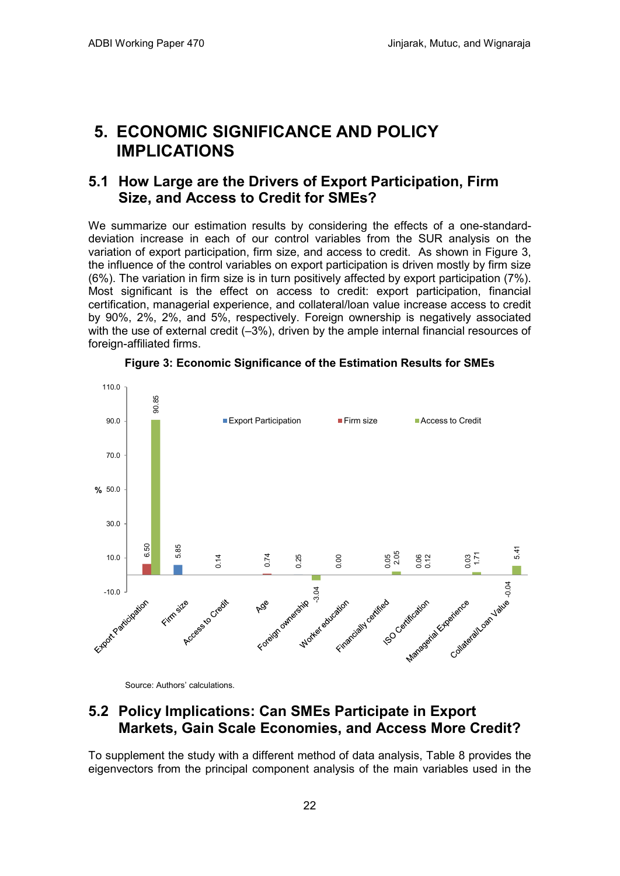## **5. ECONOMIC SIGNIFICANCE AND POLICY IMPLICATIONS**

### **5.1 How Large are the Drivers of Export Participation, Firm Size, and Access to Credit for SMEs?**

We summarize our estimation results by considering the effects of a one-standarddeviation increase in each of our control variables from the SUR analysis on the variation of export participation, firm size, and access to credit. As shown in Figure 3, the influence of the control variables on export participation is driven mostly by firm size (6%). The variation in firm size is in turn positively affected by export participation (7%). Most significant is the effect on access to credit: export participation, financial certification, managerial experience, and collateral/loan value increase access to credit by 90%, 2%, 2%, and 5%, respectively. Foreign ownership is negatively associated with the use of external credit (-3%), driven by the ample internal financial resources of foreign-affiliated firms.





Source: Authors' calculations.

### **5.2 Policy Implications: Can SMEs Participate in Export Markets, Gain Scale Economies, and Access More Credit?**

To supplement the study with a different method of data analysis, Table 8 provides the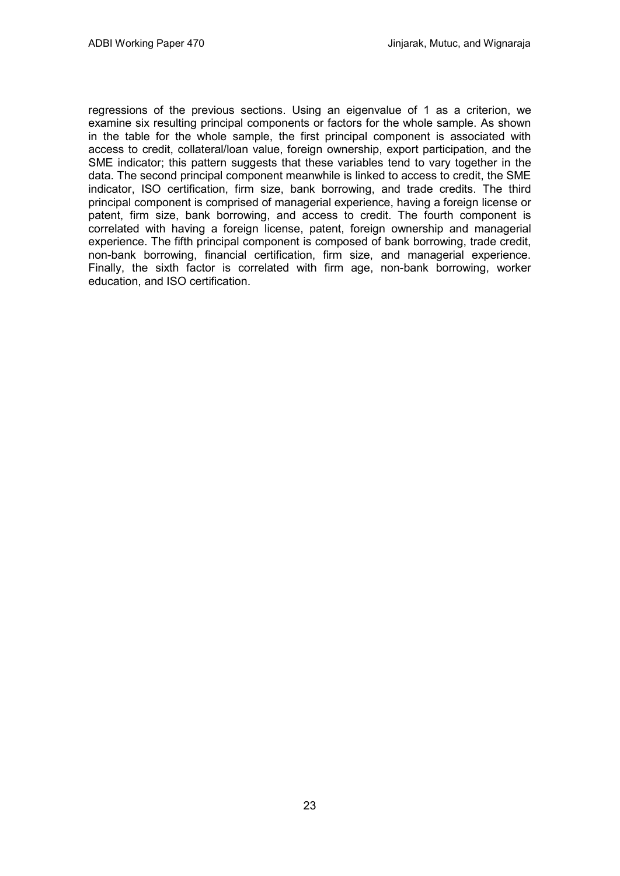regressions of the previous sections. Using an eigenvalue of 1 as a criterion, we examine six resulting principal components or factors for the whole sample. As shown in the table for the whole sample, the first principal component is associated with access to credit, collateral/loan value, foreign ownership, export participation, and the SME indicator; this pattern suggests that these variables tend to vary together in the data. The second principal component meanwhile is linked to access to credit, the SME indicator, ISO certification, firm size, bank borrowing, and trade credits. The third principal component is comprised of managerial experience, having a foreign license or patent, firm size, bank borrowing, and access to credit. The fourth component is correlated with having a foreign license, patent, foreign ownership and managerial experience. The fifth principal component is composed of bank borrowing, trade credit, non-bank borrowing, financial certification, firm size, and managerial experience. Finally, the sixth factor is correlated with firm age, non-bank borrowing, worker education, and ISO certification.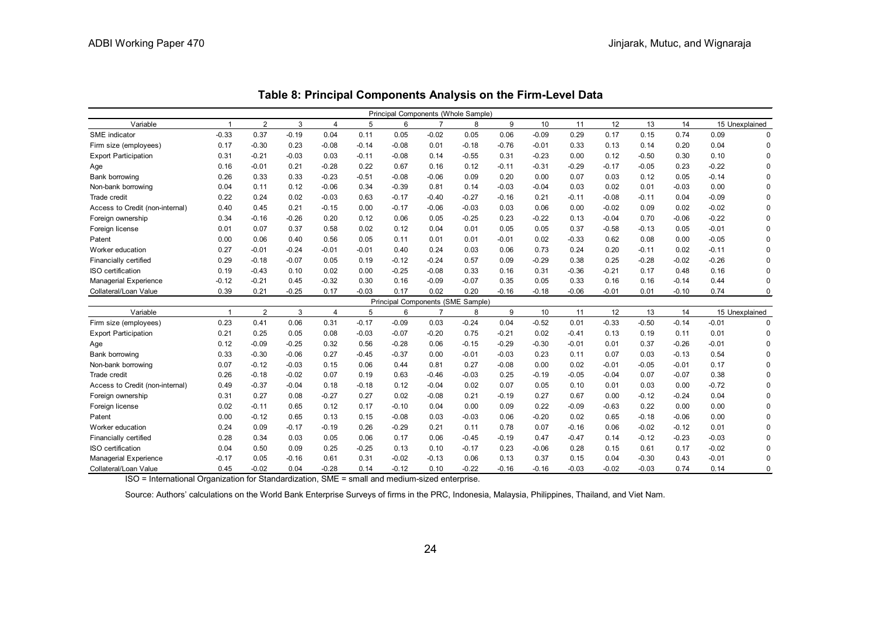|                                 |             |         |         |                |         |         |                | Principal Components (Whole Sample) |         |         |         |         |         |         |                |              |
|---------------------------------|-------------|---------|---------|----------------|---------|---------|----------------|-------------------------------------|---------|---------|---------|---------|---------|---------|----------------|--------------|
| Variable                        | $\mathbf 1$ | 2       | 3       | $\overline{4}$ | 5       | 6       | $\overline{7}$ | 8                                   | 9       | 10      | 11      | 12      | 13      | 14      | 15 Unexplained |              |
| SME indicator                   | $-0.33$     | 0.37    | $-0.19$ | 0.04           | 0.11    | 0.05    | $-0.02$        | 0.05                                | 0.06    | $-0.09$ | 0.29    | 0.17    | 0.15    | 0.74    | 0.09           | $\Omega$     |
| Firm size (employees)           | 0.17        | $-0.30$ | 0.23    | $-0.08$        | $-0.14$ | $-0.08$ | 0.01           | $-0.18$                             | $-0.76$ | $-0.01$ | 0.33    | 0.13    | 0.14    | 0.20    | 0.04           | $\Omega$     |
| <b>Export Participation</b>     | 0.31        | $-0.21$ | $-0.03$ | 0.03           | $-0.11$ | $-0.08$ | 0.14           | $-0.55$                             | 0.31    | $-0.23$ | 0.00    | 0.12    | $-0.50$ | 0.30    | 0.10           | $\Omega$     |
| Age                             | 0.16        | $-0.01$ | 0.21    | $-0.28$        | 0.22    | 0.67    | 0.16           | 0.12                                | $-0.11$ | $-0.31$ | $-0.29$ | $-0.17$ | $-0.05$ | 0.23    | $-0.22$        | $\Omega$     |
| Bank borrowing                  | 0.26        | 0.33    | 0.33    | $-0.23$        | $-0.51$ | $-0.08$ | $-0.06$        | 0.09                                | 0.20    | 0.00    | 0.07    | 0.03    | 0.12    | 0.05    | $-0.14$        | 0            |
| Non-bank borrowing              | 0.04        | 0.11    | 0.12    | $-0.06$        | 0.34    | $-0.39$ | 0.81           | 0.14                                | $-0.03$ | $-0.04$ | 0.03    | 0.02    | 0.01    | $-0.03$ | 0.00           | $\Omega$     |
| Trade credit                    | 0.22        | 0.24    | 0.02    | $-0.03$        | 0.63    | $-0.17$ | $-0.40$        | $-0.27$                             | $-0.16$ | 0.21    | $-0.11$ | $-0.08$ | $-0.11$ | 0.04    | $-0.09$        | $\Omega$     |
| Access to Credit (non-internal) | 0.40        | 0.45    | 0.21    | $-0.15$        | 0.00    | $-0.17$ | $-0.06$        | $-0.03$                             | 0.03    | 0.06    | 0.00    | $-0.02$ | 0.09    | 0.02    | $-0.02$        | $\Omega$     |
| Foreign ownership               | 0.34        | $-0.16$ | $-0.26$ | 0.20           | 0.12    | 0.06    | 0.05           | $-0.25$                             | 0.23    | $-0.22$ | 0.13    | $-0.04$ | 0.70    | $-0.06$ | $-0.22$        | $\Omega$     |
| Foreign license                 | 0.01        | 0.07    | 0.37    | 0.58           | 0.02    | 0.12    | 0.04           | 0.01                                | 0.05    | 0.05    | 0.37    | $-0.58$ | $-0.13$ | 0.05    | $-0.01$        | $\Omega$     |
| Patent                          | 0.00        | 0.06    | 0.40    | 0.56           | 0.05    | 0.11    | 0.01           | 0.01                                | $-0.01$ | 0.02    | $-0.33$ | 0.62    | 0.08    | 0.00    | $-0.05$        | $\Omega$     |
| Worker education                | 0.27        | $-0.01$ | $-0.24$ | $-0.01$        | $-0.01$ | 0.40    | 0.24           | 0.03                                | 0.06    | 0.73    | 0.24    | 0.20    | $-0.11$ | 0.02    | $-0.11$        | $\Omega$     |
| Financially certified           | 0.29        | $-0.18$ | $-0.07$ | 0.05           | 0.19    | $-0.12$ | $-0.24$        | 0.57                                | 0.09    | $-0.29$ | 0.38    | 0.25    | $-0.28$ | $-0.02$ | $-0.26$        | $\Omega$     |
| ISO certification               | 0.19        | $-0.43$ | 0.10    | 0.02           | 0.00    | $-0.25$ | $-0.08$        | 0.33                                | 0.16    | 0.31    | $-0.36$ | $-0.21$ | 0.17    | 0.48    | 0.16           | 0            |
| Managerial Experience           | $-0.12$     | $-0.21$ | 0.45    | $-0.32$        | 0.30    | 0.16    | $-0.09$        | $-0.07$                             | 0.35    | 0.05    | 0.33    | 0.16    | 0.16    | $-0.14$ | 0.44           | 0            |
| Collateral/Loan Value           | 0.39        | 0.21    | $-0.25$ | 0.17           | $-0.03$ | 0.17    | 0.02           | 0.20                                | $-0.16$ | $-0.18$ | $-0.06$ | $-0.01$ | 0.01    | $-0.10$ | 0.74           | 0            |
|                                 |             |         |         |                |         |         |                | Principal Components (SME Sample)   |         |         |         |         |         |         |                |              |
| Variable                        | 1           | 2       | 3       | $\overline{4}$ | 5       | 6       | 7              | 8                                   | 9       | 10      | 11      | 12      | 13      | 14      | 15 Unexplained |              |
| Firm size (employees)           | 0.23        | 0.41    | 0.06    | 0.31           | $-0.17$ | $-0.09$ | 0.03           | $-0.24$                             | 0.04    | $-0.52$ | 0.01    | $-0.33$ | $-0.50$ | $-0.14$ | $-0.01$        | 0            |
| <b>Export Participation</b>     | 0.21        | 0.25    | 0.05    | 0.08           | $-0.03$ | $-0.07$ | $-0.20$        | 0.75                                | $-0.21$ | 0.02    | $-0.41$ | 0.13    | 0.19    | 0.11    | 0.01           | $\Omega$     |
| Age                             | 0.12        | $-0.09$ | $-0.25$ | 0.32           | 0.56    | $-0.28$ | 0.06           | $-0.15$                             | $-0.29$ | $-0.30$ | $-0.01$ | 0.01    | 0.37    | $-0.26$ | $-0.01$        | 0            |
| Bank borrowing                  | 0.33        | $-0.30$ | $-0.06$ | 0.27           | $-0.45$ | $-0.37$ | 0.00           | $-0.01$                             | $-0.03$ | 0.23    | 0.11    | 0.07    | 0.03    | $-0.13$ | 0.54           | $\Omega$     |
| Non-bank borrowing              | 0.07        | $-0.12$ | $-0.03$ | 0.15           | 0.06    | 0.44    | 0.81           | 0.27                                | $-0.08$ | 0.00    | 0.02    | $-0.01$ | $-0.05$ | $-0.01$ | 0.17           | $\Omega$     |
| Trade credit                    | 0.26        | $-0.18$ | $-0.02$ | 0.07           | 0.19    | 0.63    | $-0.46$        | $-0.03$                             | 0.25    | $-0.19$ | $-0.05$ | $-0.04$ | 0.07    | $-0.07$ | 0.38           | $\Omega$     |
| Access to Credit (non-internal) | 0.49        | $-0.37$ | $-0.04$ | 0.18           | $-0.18$ | 0.12    | $-0.04$        | 0.02                                | 0.07    | 0.05    | 0.10    | 0.01    | 0.03    | 0.00    | $-0.72$        | $\Omega$     |
| Foreign ownership               | 0.31        | 0.27    | 0.08    | $-0.27$        | 0.27    | 0.02    | $-0.08$        | 0.21                                | $-0.19$ | 0.27    | 0.67    | 0.00    | $-0.12$ | $-0.24$ | 0.04           | $\Omega$     |
| Foreign license                 | 0.02        | $-0.11$ | 0.65    | 0.12           | 0.17    | $-0.10$ | 0.04           | 0.00                                | 0.09    | 0.22    | $-0.09$ | $-0.63$ | 0.22    | 0.00    | 0.00           | $\Omega$     |
| Patent                          | 0.00        | $-0.12$ | 0.65    | 0.13           | 0.15    | $-0.08$ | 0.03           | $-0.03$                             | 0.06    | $-0.20$ | 0.02    | 0.65    | $-0.18$ | $-0.06$ | 0.00           | <sup>0</sup> |
| Worker education                | 0.24        | 0.09    | $-0.17$ | $-0.19$        | 0.26    | $-0.29$ | 0.21           | 0.11                                | 0.78    | 0.07    | $-0.16$ | 0.06    | $-0.02$ | $-0.12$ | 0.01           | 0            |
| Financially certified           | 0.28        | 0.34    | 0.03    | 0.05           | 0.06    | 0.17    | 0.06           | $-0.45$                             | $-0.19$ | 0.47    | $-0.47$ | 0.14    | $-0.12$ | $-0.23$ | $-0.03$        | $\Omega$     |
| ISO certification               | 0.04        | 0.50    | 0.09    | 0.25           | $-0.25$ | 0.13    | 0.10           | $-0.17$                             | 0.23    | $-0.06$ | 0.28    | 0.15    | 0.61    | 0.17    | $-0.02$        | $\Omega$     |
| Managerial Experience           | $-0.17$     | 0.05    | $-0.16$ | 0.61           | 0.31    | $-0.02$ | $-0.13$        | 0.06                                | 0.13    | 0.37    | 0.15    | 0.04    | $-0.30$ | 0.43    | $-0.01$        | $\Omega$     |
| Collateral/Loan Value           | 0.45        | $-0.02$ | 0.04    | $-0.28$        | 0.14    | $-0.12$ | 0.10           | $-0.22$                             | $-0.16$ | $-0.16$ | $-0.03$ | $-0.02$ | $-0.03$ | 0.74    | 0.14           | $\Omega$     |

**Table 8: Principal Components Analysis on the Firm-Level Data**

ISO = International Organization for Standardization, SME = small and medium-sized enterprise.

Source: Authors' calculations on the World Bank Enterprise Surveys of firms in the PRC, Indonesia, Malaysia, Philippines, Thailand, and Viet Nam.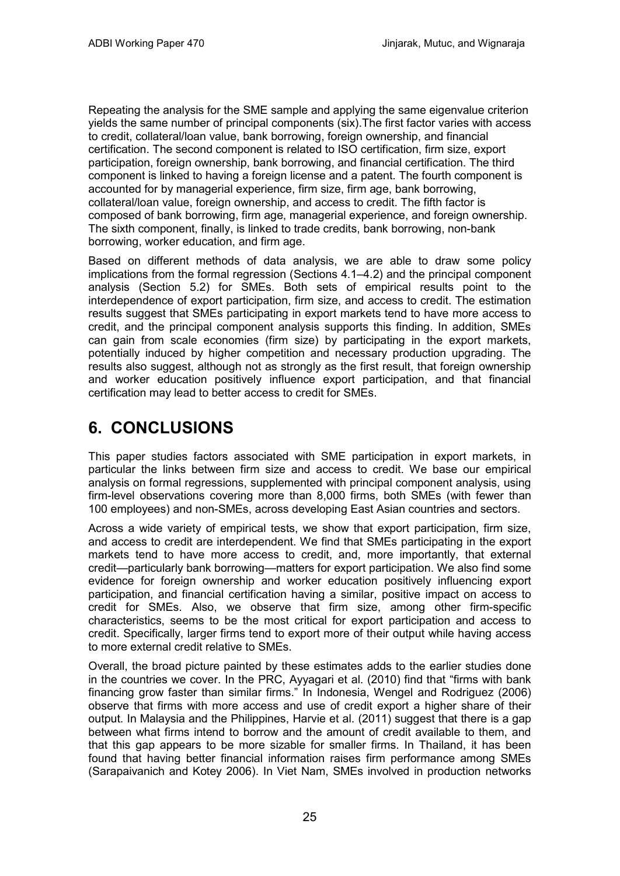Repeating the analysis for the SME sample and applying the same eigenvalue criterion yields the same number of principal components (six).The first factor varies with access to credit, collateral/loan value, bank borrowing, foreign ownership, and financial certification. The second component is related to ISO certification, firm size, export participation, foreign ownership, bank borrowing, and financial certification. The third component is linked to having a foreign license and a patent. The fourth component is accounted for by managerial experience, firm size, firm age, bank borrowing, collateral/loan value, foreign ownership, and access to credit. The fifth factor is composed of bank borrowing, firm age, managerial experience, and foreign ownership. The sixth component, finally, is linked to trade credits, bank borrowing, non-bank borrowing, worker education, and firm age.

Based on different methods of data analysis, we are able to draw some policy implications from the formal regression (Sections 4.1–4.2) and the principal component analysis (Section 5.2) for SMEs. Both sets of empirical results point to the interdependence of export participation, firm size, and access to credit. The estimation results suggest that SMEs participating in export markets tend to have more access to credit, and the principal component analysis supports this finding. In addition, SMEs can gain from scale economies (firm size) by participating in the export markets, potentially induced by higher competition and necessary production upgrading. The results also suggest, although not as strongly as the first result, that foreign ownership and worker education positively influence export participation, and that financial certification may lead to better access to credit for SMEs.

# **6. CONCLUSIONS**

This paper studies factors associated with SME participation in export markets, in particular the links between firm size and access to credit. We base our empirical analysis on formal regressions, supplemented with principal component analysis, using firm-level observations covering more than 8,000 firms, both SMEs (with fewer than 100 employees) and non-SMEs, across developing East Asian countries and sectors.

Across a wide variety of empirical tests, we show that export participation, firm size, and access to credit are interdependent. We find that SMEs participating in the export markets tend to have more access to credit, and, more importantly, that external credit—particularly bank borrowing—matters for export participation. We also find some evidence for foreign ownership and worker education positively influencing export participation, and financial certification having a similar, positive impact on access to credit for SMEs. Also, we observe that firm size, among other firm-specific characteristics, seems to be the most critical for export participation and access to credit. Specifically, larger firms tend to export more of their output while having access to more external credit relative to SMEs.

Overall, the broad picture painted by these estimates adds to the earlier studies done in the countries we cover. In the PRC, Ayyagari et al. (2010) find that "firms with bank financing grow faster than similar firms." In Indonesia, Wengel and Rodriguez (2006) observe that firms with more access and use of credit export a higher share of their output. In Malaysia and the Philippines, Harvie et al. (2011) suggest that there is a gap between what firms intend to borrow and the amount of credit available to them, and that this gap appears to be more sizable for smaller firms. In Thailand, it has been found that having better financial information raises firm performance among SMEs (Sarapaivanich and Kotey 2006). In Viet Nam, SMEs involved in production networks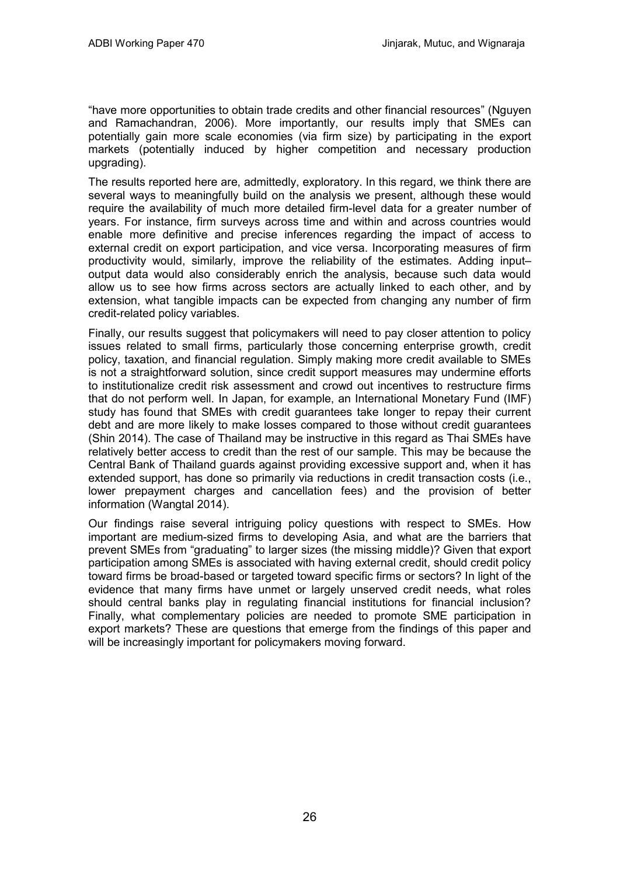"have more opportunities to obtain trade credits and other financial resources" (Nguyen and Ramachandran, 2006). More importantly, our results imply that SMEs can potentially gain more scale economies (via firm size) by participating in the export markets (potentially induced by higher competition and necessary production upgrading).

The results reported here are, admittedly, exploratory. In this regard, we think there are several ways to meaningfully build on the analysis we present, although these would require the availability of much more detailed firm-level data for a greater number of years. For instance, firm surveys across time and within and across countries would enable more definitive and precise inferences regarding the impact of access to external credit on export participation, and vice versa. Incorporating measures of firm productivity would, similarly, improve the reliability of the estimates. Adding input– output data would also considerably enrich the analysis, because such data would allow us to see how firms across sectors are actually linked to each other, and by extension, what tangible impacts can be expected from changing any number of firm credit-related policy variables.

Finally, our results suggest that policymakers will need to pay closer attention to policy issues related to small firms, particularly those concerning enterprise growth, credit policy, taxation, and financial regulation. Simply making more credit available to SMEs is not a straightforward solution, since credit support measures may undermine efforts to institutionalize credit risk assessment and crowd out incentives to restructure firms that do not perform well. In Japan, for example, an International Monetary Fund (IMF) study has found that SMEs with credit guarantees take longer to repay their current debt and are more likely to make losses compared to those without credit guarantees (Shin 2014). The case of Thailand may be instructive in this regard as Thai SMEs have relatively better access to credit than the rest of our sample. This may be because the Central Bank of Thailand guards against providing excessive support and, when it has extended support, has done so primarily via reductions in credit transaction costs (i.e., lower prepayment charges and cancellation fees) and the provision of better information (Wangtal 2014).

Our findings raise several intriguing policy questions with respect to SMEs. How important are medium-sized firms to developing Asia, and what are the barriers that prevent SMEs from "graduating" to larger sizes (the missing middle)? Given that export participation among SMEs is associated with having external credit, should credit policy toward firms be broad-based or targeted toward specific firms or sectors? In light of the evidence that many firms have unmet or largely unserved credit needs, what roles should central banks play in regulating financial institutions for financial inclusion? Finally, what complementary policies are needed to promote SME participation in export markets? These are questions that emerge from the findings of this paper and will be increasingly important for policymakers moving forward.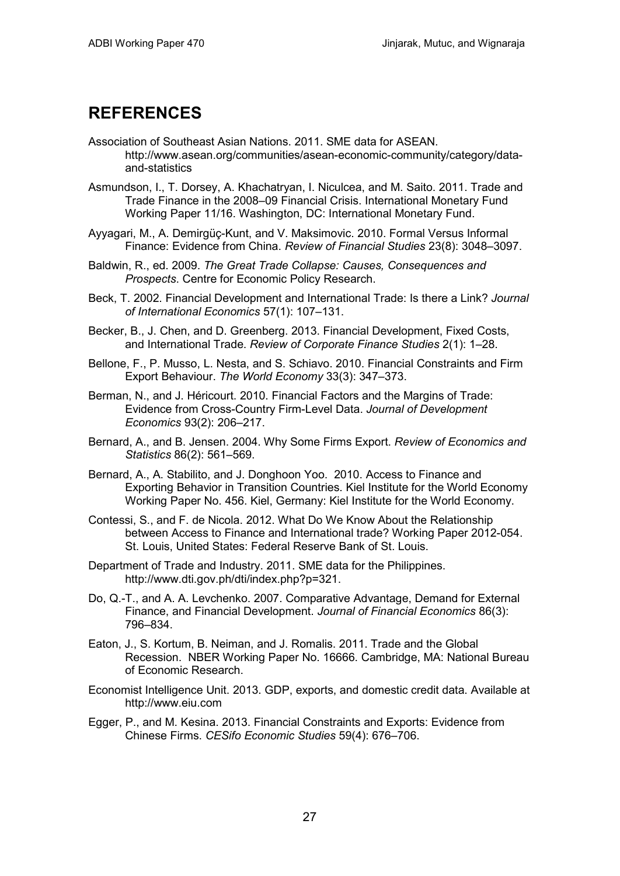## **REFERENCES**

- Association of Southeast Asian Nations. 2011. SME data for ASEAN. http://www.asean.org/communities/asean-economic-community/category/dataand-statistics
- Asmundson, I., T. Dorsey, A. Khachatryan, I. Niculcea, and M. Saito. 2011. Trade and Trade Finance in the 2008–09 Financial Crisis. International Monetary Fund Working Paper 11/16. Washington, DC: International Monetary Fund.
- Ayyagari, M., A. Demirgüç-Kunt, and V. Maksimovic. 2010. Formal Versus Informal Finance: Evidence from China. *Review of Financial Studies* 23(8): 3048–3097.
- Baldwin, R., ed. 2009. *The Great Trade Collapse: Causes, Consequences and Prospects*. Centre for Economic Policy Research.
- Beck, T. 2002. Financial Development and International Trade: Is there a Link? *Journal of International Economics* 57(1): 107–131.
- Becker, B., J. Chen, and D. Greenberg. 2013. Financial Development, Fixed Costs, and International Trade. *Review of Corporate Finance Studies* 2(1): 1–28.
- Bellone, F., P. Musso, L. Nesta, and S. Schiavo. 2010. Financial Constraints and Firm Export Behaviour. *The World Economy* 33(3): 347–373.
- Berman, N., and J. Héricourt. 2010. Financial Factors and the Margins of Trade: Evidence from Cross-Country Firm-Level Data. *Journal of Development Economics* 93(2): 206–217.
- Bernard, A., and B. Jensen. 2004. Why Some Firms Export. *Review of Economics and Statistics* 86(2): 561–569.
- Bernard, A., A. Stabilito, and J. Donghoon Yoo. 2010. Access to Finance and Exporting Behavior in Transition Countries. Kiel Institute for the World Economy Working Paper No. 456. Kiel, Germany: Kiel Institute for the World Economy.
- Contessi, S., and F. de Nicola. 2012. What Do We Know About the Relationship between Access to Finance and International trade? Working Paper 2012-054. St. Louis, United States: Federal Reserve Bank of St. Louis.
- Department of Trade and Industry. 2011. SME data for the Philippines. http://www.dti.gov.ph/dti/index.php?p=321.
- Do, Q.-T., and A. A. Levchenko. 2007. Comparative Advantage, Demand for External Finance, and Financial Development. *Journal of Financial Economics* 86(3): 796–834.
- Eaton, J., S. Kortum, B. Neiman, and J. Romalis. 2011. Trade and the Global Recession. NBER Working Paper No. 16666. Cambridge, MA: National Bureau of Economic Research.
- Economist Intelligence Unit. 2013. GDP, exports, and domestic credit data. Available at http://www.eiu.com
- Egger, P., and M. Kesina. 2013. Financial Constraints and Exports: Evidence from Chinese Firms. *CESifo Economic Studies* 59(4): 676–706.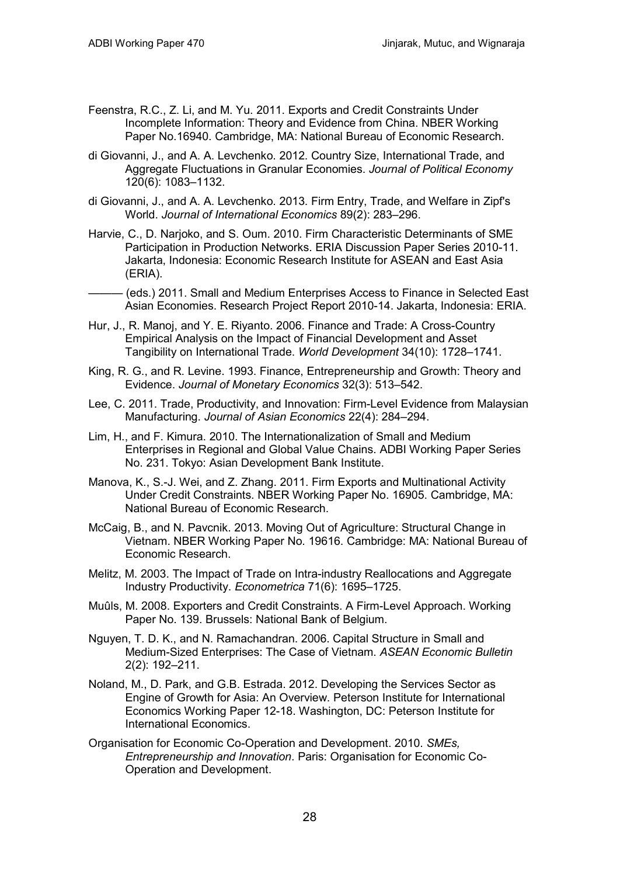- Feenstra, R.C., Z. Li, and M. Yu. 2011. Exports and Credit Constraints Under Incomplete Information: Theory and Evidence from China. NBER Working Paper No.16940. Cambridge, MA: National Bureau of Economic Research.
- di Giovanni, J., and A. A. Levchenko. 2012. Country Size, International Trade, and Aggregate Fluctuations in Granular Economies. *Journal of Political Economy* 120(6): 1083–1132.
- di Giovanni, J., and A. A. Levchenko. 2013. Firm Entry, Trade, and Welfare in Zipf's World. *Journal of International Economics* 89(2): 283–296.
- Harvie, C., D. Narjoko, and S. Oum. 2010. Firm Characteristic Determinants of SME Participation in Production Networks. ERIA Discussion Paper Series 2010-11. Jakarta, Indonesia: Economic Research Institute for ASEAN and East Asia (ERIA).
- (eds.) 2011. Small and Medium Enterprises Access to Finance in Selected East Asian Economies. Research Project Report 2010-14. Jakarta, Indonesia: ERIA.
- Hur, J., R. Manoj, and Y. E. Riyanto. 2006. Finance and Trade: A Cross-Country Empirical Analysis on the Impact of Financial Development and Asset Tangibility on International Trade. *World Development* 34(10): 1728–1741.
- King, R. G., and R. Levine. 1993. Finance, Entrepreneurship and Growth: Theory and Evidence. *Journal of Monetary Economics* 32(3): 513–542.
- Lee, C. 2011. Trade, Productivity, and Innovation: Firm-Level Evidence from Malaysian Manufacturing. *Journal of Asian Economics* 22(4): 284–294.
- Lim, H., and F. Kimura. 2010. The Internationalization of Small and Medium Enterprises in Regional and Global Value Chains. ADBI Working Paper Series No. 231. Tokyo: Asian Development Bank Institute.
- Manova, K., S.-J. Wei, and Z. Zhang. 2011. Firm Exports and Multinational Activity Under Credit Constraints. NBER Working Paper No. 16905. Cambridge, MA: National Bureau of Economic Research.
- McCaig, B., and N. Pavcnik. 2013. Moving Out of Agriculture: Structural Change in Vietnam. NBER Working Paper No. 19616. Cambridge: MA: National Bureau of Economic Research.
- Melitz, M. 2003. The Impact of Trade on Intra-industry Reallocations and Aggregate Industry Productivity. *Econometrica* 71(6): 1695–1725.
- Muûls, M. 2008. Exporters and Credit Constraints. A Firm-Level Approach. Working Paper No. 139. Brussels: National Bank of Belgium.
- Nguyen, T. D. K., and N. Ramachandran. 2006. Capital Structure in Small and Medium-Sized Enterprises: The Case of Vietnam. *ASEAN Economic Bulletin* 2(2): 192–211.
- Noland, M., D. Park, and G.B. Estrada. 2012. Developing the Services Sector as Engine of Growth for Asia: An Overview. Peterson Institute for International Economics Working Paper 12-18. Washington, DC: Peterson Institute for International Economics.
- Organisation for Economic Co-Operation and Development. 2010. *SMEs, Entrepreneurship and Innovation*. Paris: Organisation for Economic Co-Operation and Development.